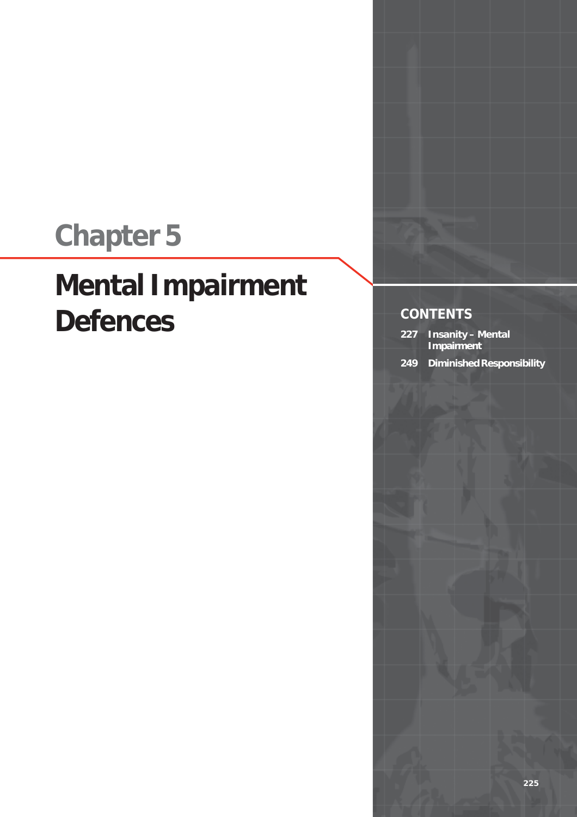## **Chapter 5**

## **Mental Impairment Defences**

**CONTENTS**

- **227 Insanity Mental Impairment**
- **249 Diminished Responsibility**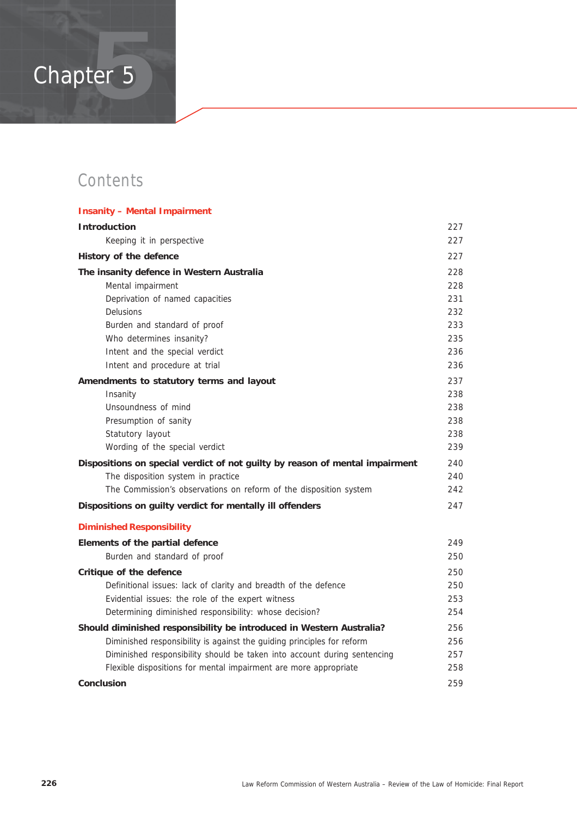# Chapter 5 **5**

### **Contents**

| <b>Insanity - Mental Impairment</b>                                          |     |
|------------------------------------------------------------------------------|-----|
| <b>Introduction</b>                                                          | 227 |
| Keeping it in perspective                                                    | 227 |
| History of the defence                                                       | 227 |
| The insanity defence in Western Australia                                    | 228 |
| Mental impairment                                                            | 228 |
| Deprivation of named capacities                                              | 231 |
| <b>Delusions</b>                                                             | 232 |
| Burden and standard of proof                                                 | 233 |
| Who determines insanity?                                                     | 235 |
| Intent and the special verdict                                               | 236 |
| Intent and procedure at trial                                                | 236 |
| Amendments to statutory terms and layout                                     | 237 |
| Insanity                                                                     | 238 |
| Unsoundness of mind                                                          | 238 |
| Presumption of sanity                                                        | 238 |
| Statutory layout                                                             | 238 |
| Wording of the special verdict                                               | 239 |
| Dispositions on special verdict of not guilty by reason of mental impairment | 240 |
| The disposition system in practice                                           | 240 |
| The Commission's observations on reform of the disposition system            | 242 |
| Dispositions on guilty verdict for mentally ill offenders                    | 247 |
| <b>Diminished Responsibility</b>                                             |     |
| Elements of the partial defence                                              | 249 |
| Burden and standard of proof                                                 | 250 |
| Critique of the defence                                                      | 250 |
| Definitional issues: lack of clarity and breadth of the defence              | 250 |
| Evidential issues: the role of the expert witness                            | 253 |
| Determining diminished responsibility: whose decision?                       | 254 |
| Should diminished responsibility be introduced in Western Australia?         | 256 |
| Diminished responsibility is against the guiding principles for reform       | 256 |
| Diminished responsibility should be taken into account during sentencing     | 257 |
| Flexible dispositions for mental impairment are more appropriate             | 258 |
| <b>Conclusion</b>                                                            | 259 |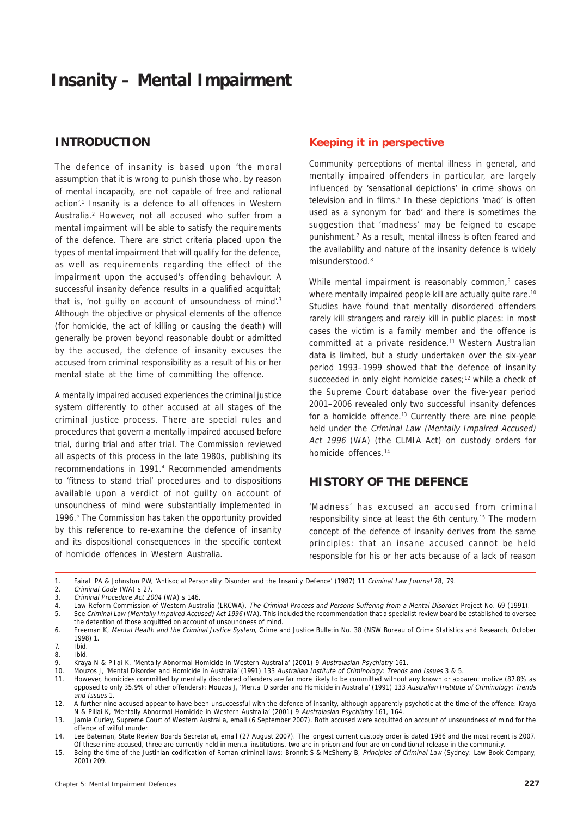#### **INTRODUCTION**

The defence of insanity is based upon 'the moral assumption that it is wrong to punish those who, by reason of mental incapacity, are not capable of free and rational action'.<sup>1</sup> Insanity is a defence to all offences in Western Australia.<sup>2</sup> However, not all accused who suffer from a mental impairment will be able to satisfy the requirements of the defence. There are strict criteria placed upon the types of mental impairment that will qualify for the defence, as well as requirements regarding the effect of the impairment upon the accused's offending behaviour. A successful insanity defence results in a qualified acquittal; that is, 'not guilty on account of unsoundness of mind'.<sup>3</sup> Although the objective or physical elements of the offence (for homicide, the act of killing or causing the death) will generally be proven beyond reasonable doubt or admitted by the accused, the defence of insanity excuses the accused from criminal responsibility as a result of his or her mental state at the time of committing the offence.

A mentally impaired accused experiences the criminal justice system differently to other accused at all stages of the criminal justice process. There are special rules and procedures that govern a mentally impaired accused before trial, during trial and after trial. The Commission reviewed all aspects of this process in the late 1980s, publishing its recommendations in 1991.4 Recommended amendments to 'fitness to stand trial' procedures and to dispositions available upon a verdict of not guilty on account of unsoundness of mind were substantially implemented in 1996.<sup>5</sup> The Commission has taken the opportunity provided by this reference to re-examine the defence of insanity and its dispositional consequences in the specific context of homicide offences in Western Australia.

#### **Keeping it in perspective**

Community perceptions of mental illness in general, and mentally impaired offenders in particular, are largely influenced by 'sensational depictions' in crime shows on television and in films.<sup>6</sup> In these depictions 'mad' is often used as a synonym for 'bad' and there is sometimes the suggestion that 'madness' may be feigned to escape punishment.7 As a result, mental illness is often feared and the availability and nature of the insanity defence is widely misunderstood.8

While mental impairment is reasonably common,<sup>9</sup> cases where mentally impaired people kill are actually quite rare.<sup>10</sup> Studies have found that mentally disordered offenders rarely kill strangers and rarely kill in public places: in most cases the victim is a family member and the offence is committed at a private residence.<sup>11</sup> Western Australian data is limited, but a study undertaken over the six-year period 1993–1999 showed that the defence of insanity succeeded in only eight homicide cases;<sup>12</sup> while a check of the Supreme Court database over the five-year period 2001–2006 revealed only two successful insanity defences for a homicide offence.<sup>13</sup> Currently there are nine people held under the Criminal Law (Mentally Impaired Accused) Act 1996 (WA) (the CLMIA Act) on custody orders for homicide offences.14

#### **HISTORY OF THE DEFENCE**

'Madness' has excused an accused from criminal responsibility since at least the 6th century.15 The modern concept of the defence of insanity derives from the same principles: that an insane accused cannot be held responsible for his or her acts because of a lack of reason

1. Fairall PA & Johnston PW, 'Antisocial Personality Disorder and the Insanity Defence' (1987) 11 Criminal Law Journal 78, 79.

<sup>2.</sup> Criminal Code (WA) s 27.

<sup>3.</sup> Criminal Procedure Act 2004 (WA) s 146.

<sup>4.</sup> Law Reform Commission of Western Australia (LRCWA), The Criminal Process and Persons Suffering from a Mental Disorder, Project No. 69 (1991). 5. See Criminal Law (Mentally Impaired Accused) Act 1996 (WA). This included the recommendation that a specialist review board be established to oversee the detention of those acquitted on account of unsoundness of mind.

<sup>6.</sup> Freeman K, Mental Health and the Criminal Justice System, Crime and Justice Bulletin No. 38 (NSW Bureau of Crime Statistics and Research, October 1998) 1.

<sup>7.</sup> Ibid.

<sup>8.</sup> Ibid.

<sup>9.</sup> Kraya N & Pillai K, 'Mentally Abnormal Homicide in Western Australia' (2001) 9 Australasian Psychiatry 161.

<sup>10.</sup> Mouzos J, 'Mental Disorder and Homicide in Australia' (1991) 133 Australian Institute of Criminology: Trends and Issues 3 & 5.

<sup>11.</sup> However, homicides committed by mentally disordered offenders are far more likely to be committed without any known or apparent motive (87.8% as opposed to only 35.9% of other offenders): Mouzos J, 'Mental Disorder and Homicide in Australia' (1991) 133 Australian Institute of Criminology: Trends and Issues 1.

<sup>12.</sup> A further nine accused appear to have been unsuccessful with the defence of insanity, although apparently psychotic at the time of the offence: Kraya N & Pillai K, 'Mentally Abnormal Homicide in Western Australia' (2001) 9 Australasian Psychiatry 161, 164.

<sup>13.</sup> Jamie Curley, Supreme Court of Western Australia, email (6 September 2007). Both accused were acquitted on account of unsoundness of mind for the offence of wilful murder.

<sup>14.</sup> Lee Bateman, State Review Boards Secretariat, email (27 August 2007). The longest current custody order is dated 1986 and the most recent is 2007. Of these nine accused, three are currently held in mental institutions, two are in prison and four are on conditional release in the community.

<sup>15.</sup> Being the time of the Justinian codification of Roman criminal laws: Bronnit S & McSherry B, Principles of Criminal Law (Sydney: Law Book Company, 2001) 209.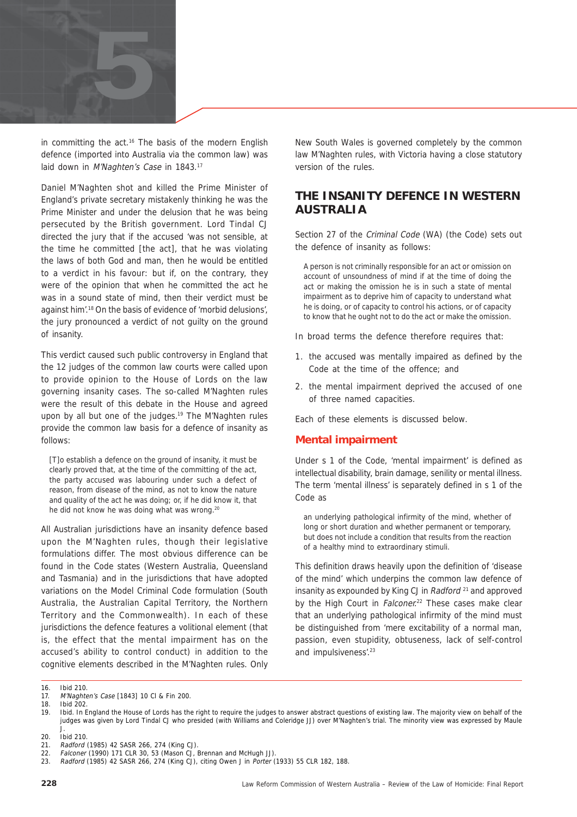

in committing the act.<sup>16</sup> The basis of the modern English defence (imported into Australia via the common law) was laid down in M'Naghten's Case in 1843.<sup>17</sup>

Daniel M'Naghten shot and killed the Prime Minister of England's private secretary mistakenly thinking he was the Prime Minister and under the delusion that he was being persecuted by the British government. Lord Tindal CJ directed the jury that if the accused 'was not sensible, at the time he committed [the act], that he was violating the laws of both God and man, then he would be entitled to a verdict in his favour: but if, on the contrary, they were of the opinion that when he committed the act he was in a sound state of mind, then their verdict must be against him'.18 On the basis of evidence of 'morbid delusions', the jury pronounced a verdict of not guilty on the ground of insanity.

This verdict caused such public controversy in England that the 12 judges of the common law courts were called upon to provide opinion to the House of Lords on the law governing insanity cases. The so-called M'Naghten rules were the result of this debate in the House and agreed upon by all but one of the judges.<sup>19</sup> The M'Naghten rules provide the common law basis for a defence of insanity as follows:

[T]o establish a defence on the ground of insanity, it must be clearly proved that, at the time of the committing of the act, the party accused was labouring under such a defect of reason, from disease of the mind, as not to know the nature and quality of the act he was doing; or, if he did know it, that he did not know he was doing what was wrong.<sup>20</sup>

All Australian jurisdictions have an insanity defence based upon the M'Naghten rules, though their legislative formulations differ. The most obvious difference can be found in the Code states (Western Australia, Queensland and Tasmania) and in the jurisdictions that have adopted variations on the Model Criminal Code formulation (South Australia, the Australian Capital Territory, the Northern Territory and the Commonwealth). In each of these jurisdictions the defence features a volitional element (that is, the effect that the mental impairment has on the accused's ability to control conduct) in addition to the cognitive elements described in the M'Naghten rules. Only

New South Wales is governed completely by the common law M'Naghten rules, with Victoria having a close statutory version of the rules.

#### **THE INSANITY DEFENCE IN WESTERN AUSTRALIA**

Section 27 of the Criminal Code (WA) (the Code) sets out the defence of insanity as follows:

A person is not criminally responsible for an act or omission on account of unsoundness of mind if at the time of doing the act or making the omission he is in such a state of mental impairment as to deprive him of capacity to understand what he is doing, or of capacity to control his actions, or of capacity to know that he ought not to do the act or make the omission.

In broad terms the defence therefore requires that:

- 1. the accused was mentally impaired as defined by the Code at the time of the offence; and
- 2. the mental impairment deprived the accused of one of three named capacities.

Each of these elements is discussed below.

#### **Mental impairment**

Under s 1 of the Code, 'mental impairment' is defined as intellectual disability, brain damage, senility or mental illness. The term 'mental illness' is separately defined in s 1 of the Code as

an underlying pathological infirmity of the mind, whether of long or short duration and whether permanent or temporary, but does not include a condition that results from the reaction of a healthy mind to extraordinary stimuli.

This definition draws heavily upon the definition of 'disease of the mind' which underpins the common law defence of insanity as expounded by King CJ in Radford <sup>21</sup> and approved by the High Court in Falconer.<sup>22</sup> These cases make clear that an underlying pathological infirmity of the mind must be distinguished from 'mere excitability of a normal man, passion, even stupidity, obtuseness, lack of self-control and impulsiveness'.<sup>23</sup>

<sup>16.</sup> Ibid 210.

<sup>17.</sup> M'Naghten's Case [1843] 10 Cl & Fin 200.<br>18. Ibid 202

Ihid 202

<sup>19.</sup> Ibid. In England the House of Lords has the right to require the judges to answer abstract questions of existing law. The majority view on behalf of the judges was given by Lord Tindal CJ who presided (with Williams and Coleridge JJ) over M'Naghten's trial. The minority view was expressed by Maule J.

<sup>20.</sup> Ibid 210.

<sup>21.</sup> Radford (1985) 42 SASR 266, 274 (King CJ).

<sup>22.</sup> Falconer (1990) 171 CLR 30, 53 (Mason CJ, Brennan and McHugh JJ).

<sup>23.</sup> Radford (1985) 42 SASR 266, 274 (King CJ), citing Owen J in Porter (1933) 55 CLR 182, 188.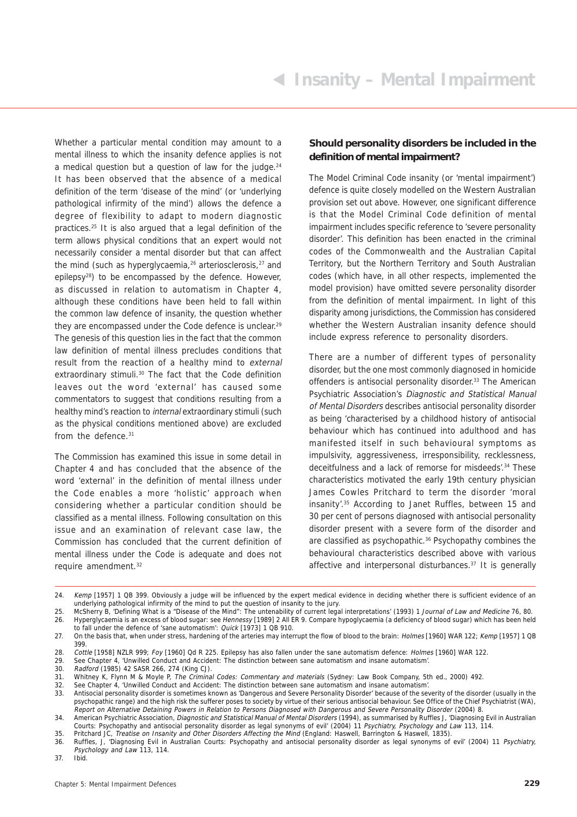Whether a particular mental condition may amount to a mental illness to which the insanity defence applies is not a medical question but a question of law for the judge. $24$ It has been observed that the absence of a medical definition of the term 'disease of the mind' (or 'underlying pathological infirmity of the mind') allows the defence a degree of flexibility to adapt to modern diagnostic practices.25 It is also argued that a legal definition of the term allows physical conditions that an expert would not necessarily consider a mental disorder but that can affect the mind (such as hyperglycaemia, $26$  arteriosclerosis, $27$  and epilepsy28) to be encompassed by the defence. However, as discussed in relation to automatism in Chapter 4, although these conditions have been held to fall within the common law defence of insanity, the question whether they are encompassed under the Code defence is unclear.29 The genesis of this question lies in the fact that the common law definition of mental illness precludes conditions that result from the reaction of a healthy mind to external extraordinary stimuli.<sup>30</sup> The fact that the Code definition leaves out the word 'external' has caused some commentators to suggest that conditions resulting from a healthy mind's reaction to internal extraordinary stimuli (such as the physical conditions mentioned above) are excluded from the defence.<sup>31</sup>

The Commission has examined this issue in some detail in Chapter 4 and has concluded that the absence of the word 'external' in the definition of mental illness under the Code enables a more 'holistic' approach when considering whether a particular condition should be classified as a mental illness. Following consultation on this issue and an examination of relevant case law, the Commission has concluded that the current definition of mental illness under the Code is adequate and does not require amendment.32

#### **Should personality disorders be included in the definition of mental impairment?**

The Model Criminal Code insanity (or 'mental impairment') defence is quite closely modelled on the Western Australian provision set out above. However, one significant difference is that the Model Criminal Code definition of mental impairment includes specific reference to 'severe personality disorder'. This definition has been enacted in the criminal codes of the Commonwealth and the Australian Capital Territory, but the Northern Territory and South Australian codes (which have, in all other respects, implemented the model provision) have omitted severe personality disorder from the definition of mental impairment. In light of this disparity among jurisdictions, the Commission has considered whether the Western Australian insanity defence should include express reference to personality disorders.

There are a number of different types of personality disorder, but the one most commonly diagnosed in homicide offenders is antisocial personality disorder.<sup>33</sup> The American Psychiatric Association's Diagnostic and Statistical Manual of Mental Disorders describes antisocial personality disorder as being 'characterised by a childhood history of antisocial behaviour which has continued into adulthood and has manifested itself in such behavioural symptoms as impulsivity, aggressiveness, irresponsibility, recklessness, deceitfulness and a lack of remorse for misdeeds'.34 These characteristics motivated the early 19th century physician James Cowles Pritchard to term the disorder 'moral insanity'.35 According to Janet Ruffles, between 15 and 30 per cent of persons diagnosed with antisocial personality disorder present with a severe form of the disorder and are classified as psychopathic.36 Psychopathy combines the behavioural characteristics described above with various affective and interpersonal disturbances.<sup>37</sup> It is generally

29. See Chapter 4, 'Unwilled Conduct and Accident: The distinction between sane automatism and insane automatism'.

<sup>24.</sup> Kemp [1957] 1 QB 399. Obviously a judge will be influenced by the expert medical evidence in deciding whether there is sufficient evidence of an underlying pathological infirmity of the mind to put the question of insanity to the jury.

<sup>25.</sup> McSherry B, 'Defining What is a "Disease of the Mind": The untenability of current legal interpretations' (1993) 1 Journal of Law and Medicine 76, 80. 26. Hyperglycaemia is an excess of blood sugar: see Hennessy [1989] 2 All ER 9. Compare hypoglycaemia (a deficiency of blood sugar) which has been held

to fall under the defence of 'sane automatism': Quick [1973] 1 QB 910.

<sup>27.</sup> On the basis that, when under stress, hardening of the arteries may interrupt the flow of blood to the brain: Holmes [1960] WAR 122; Kemp [1957] 1 QB 399.

<sup>28.</sup> Cottle [1958] NZLR 999; Foy [1960] Qd R 225. Epilepsy has also fallen under the sane automatism defence: Holmes [1960] WAR 122.

<sup>30.</sup> Radford (1985) 42 SASR 266, 274 (King CJ).

<sup>31.</sup> Whitney K, Flynn M & Moyle P, The Criminal Codes: Commentary and materials (Sydney: Law Book Company, 5th ed., 2000) 492.

<sup>32.</sup> See Chapter 4, 'Unwilled Conduct and Accident: The distinction between sane automatism and insane automatism'.

<sup>33.</sup> Antisocial personality disorder is sometimes known as 'Dangerous and Severe Personality Disorder' because of the severity of the disorder (usually in the psychopathic range) and the high risk the sufferer poses to society by virtue of their serious antisocial behaviour. See Office of the Chief Psychiatrist (WA), Report on Alternative Detaining Powers in Relation to Persons Diagnosed with Dangerous and Severe Personality Disorder (2004) 8.

<sup>34.</sup> American Psychiatric Association, Diagnostic and Statistical Manual of Mental Disorders (1994), as summarised by Ruffles J, 'Diagnosing Evil in Australian Courts: Psychopathy and antisocial personality disorder as legal synonyms of evil' (2004) 11 Psychiatry, Psychology and Law 113, 114.

<sup>35.</sup> Pritchard JC, Treatise on Insanity and Other Disorders Affecting the Mind (England: Haswell, Barrington & Haswell, 1835).

<sup>36.</sup> Ruffles, J, 'Diagnosing Evil in Australian Courts: Psychopathy and antisocial personality disorder as legal synonyms of evil' (2004) 11 Psychiatry, Psychology and Law 113, 114.

<sup>37.</sup> Ibid.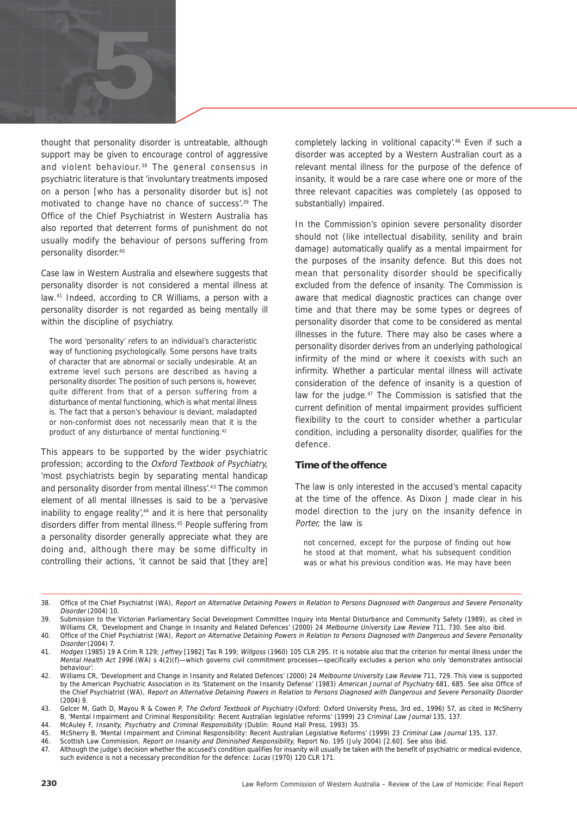

thought that personality disorder is untreatable, although support may be given to encourage control of aggressive and violent behaviour.<sup>38</sup> The general consensus in psychiatric literature is that 'involuntary treatments imposed on a person [who has a personality disorder but is] not motivated to change have no chance of success'.39 The Office of the Chief Psychiatrist in Western Australia has also reported that deterrent forms of punishment do not usually modify the behaviour of persons suffering from personality disorder.40

Case law in Western Australia and elsewhere suggests that personality disorder is not considered a mental illness at law.41 Indeed, according to CR Williams, a person with a personality disorder is not regarded as being mentally ill within the discipline of psychiatry.

The word 'personality' refers to an individual's characteristic way of functioning psychologically. Some persons have traits of character that are abnormal or socially undesirable. At an extreme level such persons are described as having a personality disorder. The position of such persons is, however, quite different from that of a person suffering from a disturbance of mental functioning, which is what mental illness is. The fact that a person's behaviour is deviant, maladapted or non-conformist does not necessarily mean that it is the product of any disturbance of mental functioning.42

This appears to be supported by the wider psychiatric profession; according to the Oxford Textbook of Psychiatry, 'most psychiatrists begin by separating mental handicap and personality disorder from mental illness'.<sup>43</sup> The common element of all mental illnesses is said to be a 'pervasive inability to engage reality',<sup>44</sup> and it is here that personality disorders differ from mental illness.45 People suffering from a personality disorder generally appreciate what they are doing and, although there may be some difficulty in controlling their actions, 'it cannot be said that [they are]

completely lacking in volitional capacity'.46 Even if such a disorder was accepted by a Western Australian court as a relevant mental illness for the purpose of the defence of insanity, it would be a rare case where one or more of the three relevant capacities was completely (as opposed to substantially) impaired.

In the Commission's opinion severe personality disorder should not (like intellectual disability, senility and brain damage) automatically qualify as a mental impairment for the purposes of the insanity defence. But this does not mean that personality disorder should be specifically excluded from the defence of insanity. The Commission is aware that medical diagnostic practices can change over time and that there may be some types or degrees of personality disorder that come to be considered as mental illnesses in the future. There may also be cases where a personality disorder derives from an underlying pathological infirmity of the mind or where it coexists with such an infirmity. Whether a particular mental illness will activate consideration of the defence of insanity is a question of law for the judge.47 The Commission is satisfied that the current definition of mental impairment provides sufficient flexibility to the court to consider whether a particular condition, including a personality disorder, qualifies for the defence.

#### **Time of the offence**

The law is only interested in the accused's mental capacity at the time of the offence. As Dixon J made clear in his model direction to the jury on the insanity defence in Porter, the law is

not concerned, except for the purpose of finding out how he stood at that moment, what his subsequent condition was or what his previous condition was. He may have been

<sup>38.</sup> Office of the Chief Psychiatrist (WA), Report on Alternative Detaining Powers in Relation to Persons Diagnosed with Dangerous and Severe Personality Disorder (2004) 10.

<sup>39.</sup> Submission to the Victorian Parliamentary Social Development Committee Inquiry into Mental Disturbance and Community Safety (1989), as cited in Williams CR, 'Development and Change in Insanity and Related Defences' (2000) 24 Melbourne University Law Review 711, 730. See also ibid.

<sup>40.</sup> Office of the Chief Psychiatrist (WA), Report on Alternative Detaining Powers in Relation to Persons Diagnosed with Dangerous and Severe Personality Disorder (2004) 7.

<sup>41.</sup> Hodges (1985) 19 A Crim R 129; Jeffrey [1982] Tas R 199; Willgoss (1960) 105 CLR 295. It is notable also that the criterion for mental illness under the Mental Health Act 1996 (WA) s 4(2)(f)—which governs civil commitment processes—specifically excludes a person who only 'demonstrates antisocial behaviour'.

<sup>42.</sup> Williams CR, 'Development and Change in Insanity and Related Defences' (2000) 24 Melbourne University Law Review 711, 729. This view is supported by the American Psychiatric Association in its 'Statement on the Insanity Defense' (1983) American Journal of Psychiatry 681, 685. See also Office of the Chief Psychiatrist (WA), Report on Alternative Detaining Powers in Relation to Persons Diagnosed with Dangerous and Severe Personality Disorder (2004) 9.

<sup>43.</sup> Gelcer M, Gath D, Mayou R & Cowen P, The Oxford Textbook of Psychiatry (Oxford: Oxford University Press, 3rd ed., 1996) 57, as cited in McSherry B, 'Mental Impairment and Criminal Responsibility: Recent Australian legislative reforms' (1999) 23 Criminal Law Journal 135, 137.

<sup>44.</sup> McAuley F, *Insanity, Psychiatry and Criminal Responsibility* (Dublin: Round Hall Press, 1993) 35.<br>45. McSherry B. 'Mental Impairment and Criminal Responsibility: Recent Australian Legislative Reform

McSherry B, 'Mental Impairment and Criminal Responsibility: Recent Australian Legislative Reforms' (1999) 23 Criminal Law Journal 135, 137.

<sup>46.</sup> Scottish Law Commission, Report on Insanity and Diminished Responsibility, Report No. 195 (July 2004) [2.60]. See also ibid.

<sup>47.</sup> Although the judge's decision whether the accused's condition qualifies for insanity will usually be taken with the benefit of psychiatric or medical evidence, such evidence is not a necessary precondition for the defence: Lucas (1970) 120 CLR 171.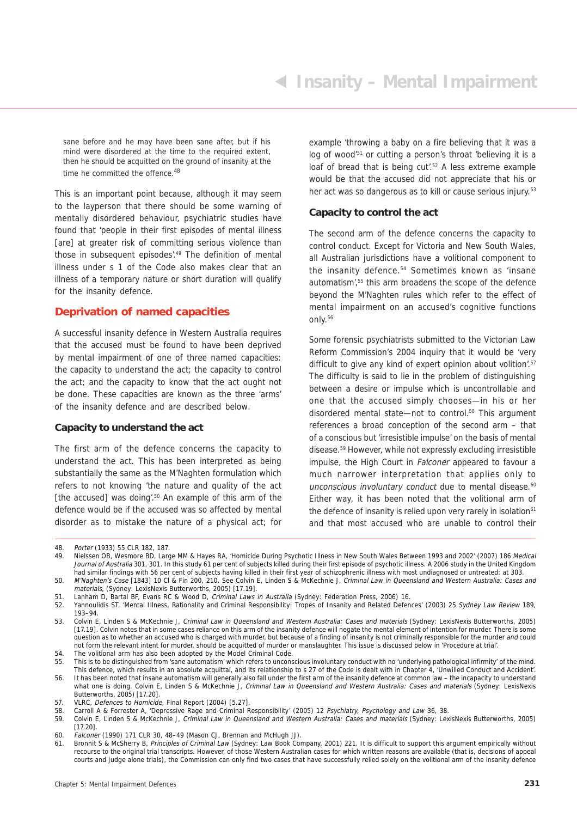sane before and he may have been sane after, but if his mind were disordered at the time to the required extent, then he should be acquitted on the ground of insanity at the time he committed the offence.<sup>48</sup>

This is an important point because, although it may seem to the layperson that there should be some warning of mentally disordered behaviour, psychiatric studies have found that 'people in their first episodes of mental illness [are] at greater risk of committing serious violence than those in subsequent episodes'.<sup>49</sup> The definition of mental illness under s 1 of the Code also makes clear that an illness of a temporary nature or short duration will qualify for the insanity defence.

#### **Deprivation of named capacities**

A successful insanity defence in Western Australia requires that the accused must be found to have been deprived by mental impairment of one of three named capacities: the capacity to understand the act; the capacity to control the act; and the capacity to know that the act ought not be done. These capacities are known as the three 'arms' of the insanity defence and are described below.

#### **Capacity to understand the act**

The first arm of the defence concerns the capacity to understand the act. This has been interpreted as being substantially the same as the M'Naghten formulation which refers to not knowing 'the nature and quality of the act [the accused] was doing'.<sup>50</sup> An example of this arm of the defence would be if the accused was so affected by mental disorder as to mistake the nature of a physical act; for

example 'throwing a baby on a fire believing that it was a log of wood<sup>'51</sup> or cutting a person's throat 'believing it is a loaf of bread that is being cut<sup>'52</sup> A less extreme example would be that the accused did not appreciate that his or her act was so dangerous as to kill or cause serious injury.<sup>53</sup>

#### **Capacity to control the act**

The second arm of the defence concerns the capacity to control conduct. Except for Victoria and New South Wales, all Australian jurisdictions have a volitional component to the insanity defence.<sup>54</sup> Sometimes known as 'insane automatism',55 this arm broadens the scope of the defence beyond the M'Naghten rules which refer to the effect of mental impairment on an accused's cognitive functions only.56

Some forensic psychiatrists submitted to the Victorian Law Reform Commission's 2004 inquiry that it would be 'very difficult to give any kind of expert opinion about volition<sup>'.57</sup> The difficulty is said to lie in the problem of distinguishing between a desire or impulse which is uncontrollable and one that the accused simply chooses—in his or her disordered mental state—not to control.<sup>58</sup> This argument references a broad conception of the second arm – that of a conscious but 'irresistible impulse' on the basis of mental disease.59 However, while not expressly excluding irresistible impulse, the High Court in Falconer appeared to favour a much narrower interpretation that applies only to unconscious involuntary conduct due to mental disease.<sup>60</sup> Either way, it has been noted that the volitional arm of the defence of insanity is relied upon very rarely in isolation<sup>61</sup> and that most accused who are unable to control their

60. Falconer (1990) 171 CLR 30, 48–49 (Mason CJ, Brennan and McHugh JJ).

<sup>48.</sup> Porter (1933) 55 CLR 182, 187.<br>49. Nielssen OB. Wesmore BD. Lard

Nielssen OB, Wesmore BD, Large MM & Hayes RA, 'Homicide During Psychotic Illness in New South Wales Between 1993 and 2002' (2007) 186 Medical Journal of Australia 301, 301. In this study 61 per cent of subjects killed during their first episode of psychotic illness. A 2006 study in the United Kingdom had similar findings with 56 per cent of subjects having killed in their first year of schizophrenic illness with most undiagnosed or untreated: at 303.

<sup>50.</sup> M'Naghten's Case [1843] 10 Cl & Fin 200, 210. See Colvin E, Linden S & McKechnie J, Criminal Law in Queensland and Western Australia: Cases and materials, (Sydney: LexisNexis Butterworths, 2005) [17.19].

<sup>51.</sup> Lanham D, Bartal BF, Evans RC & Wood D, Criminal Laws in Australia (Sydney: Federation Press, 2006) 16.

<sup>52.</sup> Yannoulidis ST, 'Mental Illness, Rationality and Criminal Responsibility: Tropes of Insanity and Related Defences' (2003) 25 Sydney Law Review 189, 193–94.

<sup>53.</sup> Colvin E, Linden S & McKechnie J, Criminal Law in Queensland and Western Australia: Cases and materials (Sydney: LexisNexis Butterworths, 2005) [17.19]. Colvin notes that in some cases reliance on this arm of the insanity defence will negate the mental element of intention for murder. There is some question as to whether an accused who is charged with murder, but because of a finding of insanity is not criminally responsible for the murder and could not form the relevant intent for murder, should be acquitted of murder or manslaughter. This issue is discussed below in 'Procedure at trial'.

<sup>54.</sup> The volitional arm has also been adopted by the Model Criminal Code.<br>55. This is to be distinguished from 'sane automatism' which refers to uncons

This is to be distinguished from 'sane automatism' which refers to unconscious involuntary conduct with no 'underlying pathological infirmity' of the mind. This defence, which results in an absolute acquittal, and its relationship to s 27 of the Code is dealt with in Chapter 4, 'Unwilled Conduct and Accident'. 56. It has been noted that insane automatism will generally also fall under the first arm of the insanity defence at common law – the incapacity to understand

what one is doing. Colvin E, Linden S & McKechnie J, Criminal Law in Queensland and Western Australia: Cases and materials (Sydney: LexisNexis Butterworths, 2005) [17.20].

<sup>57.</sup> VLRC, Defences to Homicide, Final Report (2004) [5.27].

<sup>58.</sup> Carroll A & Forrester A, 'Depressive Rage and Criminal Responsibility' (2005) 12 Psychiatry, Psychology and Law 36, 38.<br>59. Colvin F. Linden S & McKechnie J. Criminal Law in Queensland and Western Australia: Cases and

<sup>59.</sup> Colvin E, Linden S & McKechnie J, Criminal Law in Queensland and Western Australia: Cases and materials (Sydney: LexisNexis Butterworths, 2005) [17.20].

<sup>61.</sup> Bronnit S & McSherry B, Principles of Criminal Law (Sydney: Law Book Company, 2001) 221. It is difficult to support this argument empirically without recourse to the original trial transcripts. However, of those Western Australian cases for which written reasons are available (that is, decisions of appeal courts and judge alone trials), the Commission can only find two cases that have successfully relied solely on the volitional arm of the insanity defence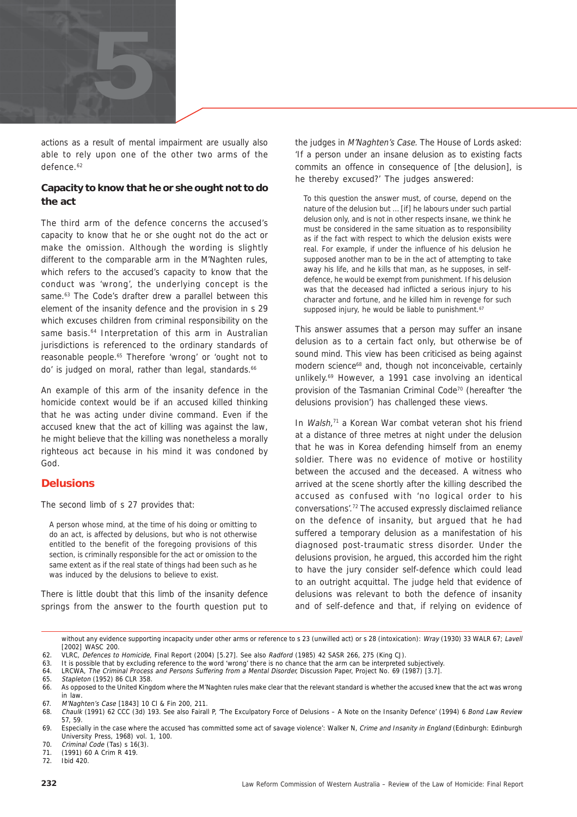

actions as a result of mental impairment are usually also able to rely upon one of the other two arms of the defence.<sup>62</sup>

#### **Capacity to know that he or she ought not to do the act**

The third arm of the defence concerns the accused's capacity to know that he or she ought not do the act or make the omission. Although the wording is slightly different to the comparable arm in the M'Naghten rules, which refers to the accused's capacity to know that the conduct was 'wrong', the underlying concept is the same.<sup>63</sup> The Code's drafter drew a parallel between this element of the insanity defence and the provision in s 29 which excuses children from criminal responsibility on the same basis.<sup>64</sup> Interpretation of this arm in Australian jurisdictions is referenced to the ordinary standards of reasonable people.65 Therefore 'wrong' or 'ought not to do' is judged on moral, rather than legal, standards.<sup>66</sup>

An example of this arm of the insanity defence in the homicide context would be if an accused killed thinking that he was acting under divine command. Even if the accused knew that the act of killing was against the law, he might believe that the killing was nonetheless a morally righteous act because in his mind it was condoned by God.

#### **Delusions**

The second limb of s 27 provides that:

A person whose mind, at the time of his doing or omitting to do an act, is affected by delusions, but who is not otherwise entitled to the benefit of the foregoing provisions of this section, is criminally responsible for the act or omission to the same extent as if the real state of things had been such as he was induced by the delusions to believe to exist.

There is little doubt that this limb of the insanity defence springs from the answer to the fourth question put to

the judges in M'Naghten's Case. The House of Lords asked: 'If a person under an insane delusion as to existing facts commits an offence in consequence of [the delusion], is he thereby excused?' The judges answered:

To this question the answer must, of course, depend on the nature of the delusion but … [if] he labours under such partial delusion only, and is not in other respects insane, we think he must be considered in the same situation as to responsibility as if the fact with respect to which the delusion exists were real. For example, if under the influence of his delusion he supposed another man to be in the act of attempting to take away his life, and he kills that man, as he supposes, in selfdefence, he would be exempt from punishment. If his delusion was that the deceased had inflicted a serious injury to his character and fortune, and he killed him in revenge for such supposed injury, he would be liable to punishment.<sup>67</sup>

This answer assumes that a person may suffer an insane delusion as to a certain fact only, but otherwise be of sound mind. This view has been criticised as being against modern science<sup>68</sup> and, though not inconceivable, certainly unlikely.69 However, a 1991 case involving an identical provision of the Tasmanian Criminal Code70 (hereafter 'the delusions provision') has challenged these views.

In Walsh,<sup>71</sup> a Korean War combat veteran shot his friend at a distance of three metres at night under the delusion that he was in Korea defending himself from an enemy soldier. There was no evidence of motive or hostility between the accused and the deceased. A witness who arrived at the scene shortly after the killing described the accused as confused with 'no logical order to his conversations'.72 The accused expressly disclaimed reliance on the defence of insanity, but argued that he had suffered a temporary delusion as a manifestation of his diagnosed post-traumatic stress disorder. Under the delusions provision, he argued, this accorded him the right to have the jury consider self-defence which could lead to an outright acquittal. The judge held that evidence of delusions was relevant to both the defence of insanity and of self-defence and that, if relying on evidence of

without any evidence supporting incapacity under other arms or reference to s 23 (unwilled act) or s 28 (intoxication): Wray (1930) 33 WALR 67: Lavell [2002] WASC 200.

63. It is possible that by excluding reference to the word 'wrong' there is no chance that the arm can be interpreted subjectively.

64. LRCWA, The Criminal Process and Persons Suffering from a Mental Disorder, Discussion Paper, Project No. 69 (1987) [3.7].

<sup>62.</sup> VLRC, Defences to Homicide, Final Report (2004) [5.27]. See also Radford (1985) 42 SASR 266, 275 (King CJ).

<sup>65.</sup> Stapleton (1952) 86 CLR 358.

<sup>66.</sup> As opposed to the United Kingdom where the M'Naghten rules make clear that the relevant standard is whether the accused knew that the act was wrong in law.

<sup>67.</sup> M'Naghten's Case [1843] 10 Cl & Fin 200, 211.

<sup>68.</sup> Chaulk (1991) 62 CCC (3d) 193. See also Fairall P, 'The Exculpatory Force of Delusions – A Note on the Insanity Defence' (1994) 6 Bond Law Review 57, 59.

<sup>69.</sup> Especially in the case where the accused 'has committed some act of savage violence': Walker N, Crime and Insanity in England (Edinburgh: Edinburgh University Press, 1968) vol. 1, 100.

<sup>70.</sup> Criminal Code (Tas) s 16(3).

<sup>71. (1991) 60</sup> A Crim R 419.

 $i$ bid 420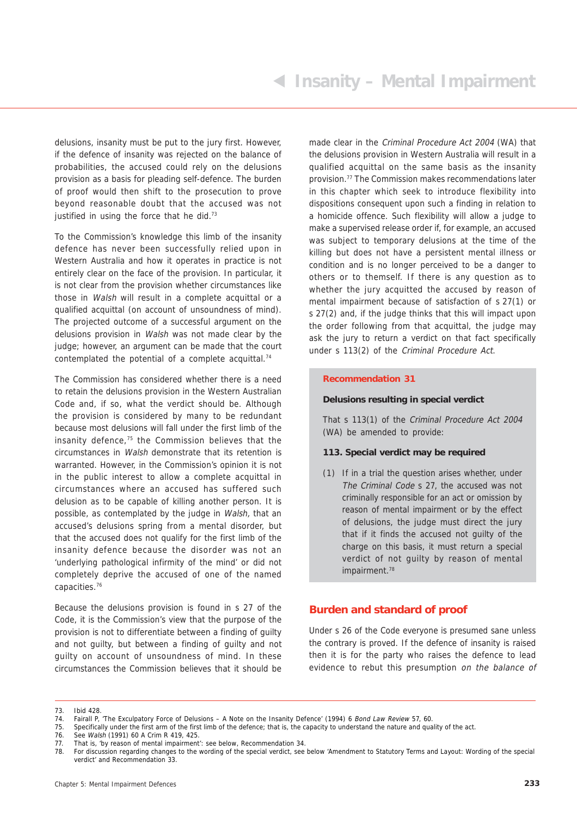delusions, insanity must be put to the jury first. However, if the defence of insanity was rejected on the balance of probabilities, the accused could rely on the delusions provision as a basis for pleading self-defence. The burden of proof would then shift to the prosecution to prove beyond reasonable doubt that the accused was not justified in using the force that he did. $73$ 

To the Commission's knowledge this limb of the insanity defence has never been successfully relied upon in Western Australia and how it operates in practice is not entirely clear on the face of the provision. In particular, it is not clear from the provision whether circumstances like those in Walsh will result in a complete acquittal or a qualified acquittal (on account of unsoundness of mind). The projected outcome of a successful argument on the delusions provision in Walsh was not made clear by the judge; however, an argument can be made that the court contemplated the potential of a complete acquittal.74

The Commission has considered whether there is a need to retain the delusions provision in the Western Australian Code and, if so, what the verdict should be. Although the provision is considered by many to be redundant because most delusions will fall under the first limb of the insanity defence,75 the Commission believes that the circumstances in Walsh demonstrate that its retention is warranted. However, in the Commission's opinion it is not in the public interest to allow a complete acquittal in circumstances where an accused has suffered such delusion as to be capable of killing another person. It is possible, as contemplated by the judge in Walsh, that an accused's delusions spring from a mental disorder, but that the accused does not qualify for the first limb of the insanity defence because the disorder was not an 'underlying pathological infirmity of the mind' or did not completely deprive the accused of one of the named capacities.76

Because the delusions provision is found in s 27 of the Code, it is the Commission's view that the purpose of the provision is not to differentiate between a finding of guilty and not guilty, but between a finding of guilty and not guilty on account of unsoundness of mind. In these circumstances the Commission believes that it should be

made clear in the Criminal Procedure Act 2004 (WA) that the delusions provision in Western Australia will result in a qualified acquittal on the same basis as the insanity provision.77 The Commission makes recommendations later in this chapter which seek to introduce flexibility into dispositions consequent upon such a finding in relation to a homicide offence. Such flexibility will allow a judge to make a supervised release order if, for example, an accused was subject to temporary delusions at the time of the killing but does not have a persistent mental illness or condition and is no longer perceived to be a danger to others or to themself. If there is any question as to whether the jury acquitted the accused by reason of mental impairment because of satisfaction of s 27(1) or s 27(2) and, if the judge thinks that this will impact upon the order following from that acquittal, the judge may ask the jury to return a verdict on that fact specifically under s 113(2) of the Criminal Procedure Act.

#### **Recommendation 31**

#### **Delusions resulting in special verdict**

That s 113(1) of the Criminal Procedure Act 2004 (WA) be amended to provide:

#### **113. Special verdict may be required**

(1) If in a trial the question arises whether, under The Criminal Code s 27, the accused was not criminally responsible for an act or omission by reason of mental impairment or by the effect of delusions, the judge must direct the jury that if it finds the accused not guilty of the charge on this basis, it must return a special verdict of not guilty by reason of mental impairment.<sup>78</sup>

#### **Burden and standard of proof**

Under s 26 of the Code everyone is presumed sane unless the contrary is proved. If the defence of insanity is raised then it is for the party who raises the defence to lead evidence to rebut this presumption on the balance of

75. Specifically under the first arm of the first limb of the defence; that is, the capacity to understand the nature and quality of the act.

<sup>73.</sup> Ibid 428.

<sup>74.</sup> Fairall P, 'The Exculpatory Force of Delusions – A Note on the Insanity Defence' (1994) 6 Bond Law Review 57, 60.

<sup>76.</sup> See Walsh (1991) 60 A Crim R 419, 425.

<sup>77.</sup> That is, 'by reason of mental impairment': see below, Recommendation 34.

<sup>78.</sup> For discussion regarding changes to the wording of the special verdict, see below 'Amendment to Statutory Terms and Layout: Wording of the special verdict' and Recommendation 33.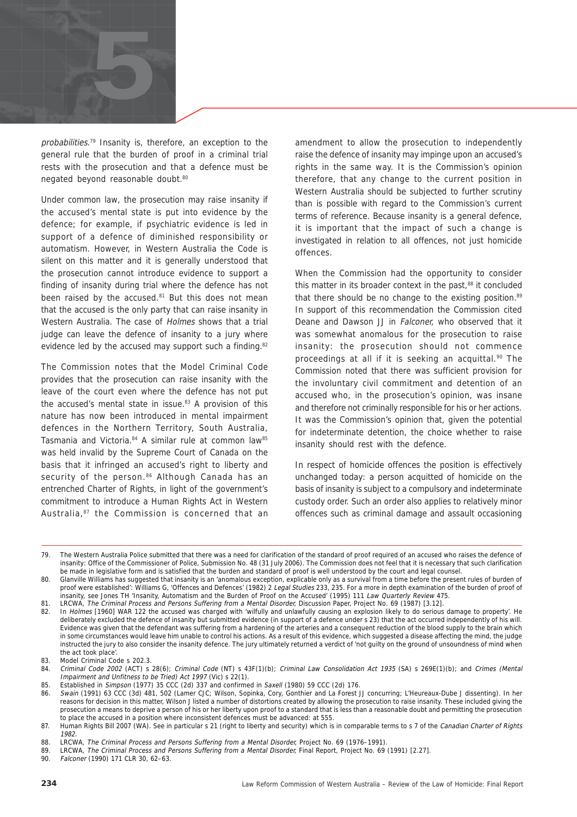

probabilities.<sup>79</sup> Insanity is, therefore, an exception to the general rule that the burden of proof in a criminal trial rests with the prosecution and that a defence must be negated beyond reasonable doubt.80

Under common law, the prosecution may raise insanity if the accused's mental state is put into evidence by the defence; for example, if psychiatric evidence is led in support of a defence of diminished responsibility or automatism. However, in Western Australia the Code is silent on this matter and it is generally understood that the prosecution cannot introduce evidence to support a finding of insanity during trial where the defence has not been raised by the accused.<sup>81</sup> But this does not mean that the accused is the only party that can raise insanity in Western Australia. The case of Holmes shows that a trial judge can leave the defence of insanity to a jury where evidence led by the accused may support such a finding.<sup>82</sup>

The Commission notes that the Model Criminal Code provides that the prosecution can raise insanity with the leave of the court even where the defence has not put the accused's mental state in issue. $83$  A provision of this nature has now been introduced in mental impairment defences in the Northern Territory, South Australia, Tasmania and Victoria. 84 A similar rule at common law85 was held invalid by the Supreme Court of Canada on the basis that it infringed an accused's right to liberty and security of the person.<sup>86</sup> Although Canada has an entrenched Charter of Rights, in light of the government's commitment to introduce a Human Rights Act in Western Australia,<sup>87</sup> the Commission is concerned that an amendment to allow the prosecution to independently raise the defence of insanity may impinge upon an accused's rights in the same way. It is the Commission's opinion therefore, that any change to the current position in Western Australia should be subjected to further scrutiny than is possible with regard to the Commission's current terms of reference. Because insanity is a general defence, it is important that the impact of such a change is investigated in relation to all offences, not just homicide offences.

When the Commission had the opportunity to consider this matter in its broader context in the past, $88$  it concluded that there should be no change to the existing position.<sup>89</sup> In support of this recommendation the Commission cited Deane and Dawson JJ in Falconer, who observed that it was somewhat anomalous for the prosecution to raise insanity: the prosecution should not commence proceedings at all if it is seeking an acquittal.<sup>90</sup> The Commission noted that there was sufficient provision for the involuntary civil commitment and detention of an accused who, in the prosecution's opinion, was insane and therefore not criminally responsible for his or her actions. It was the Commission's opinion that, given the potential for indeterminate detention, the choice whether to raise insanity should rest with the defence.

In respect of homicide offences the position is effectively unchanged today: a person acquitted of homicide on the basis of insanity is subject to a compulsory and indeterminate custody order. Such an order also applies to relatively minor offences such as criminal damage and assault occasioning

<sup>79.</sup> The Western Australia Police submitted that there was a need for clarification of the standard of proof required of an accused who raises the defence of insanity: Office of the Commissioner of Police, Submission No. 48 (31 July 2006). The Commission does not feel that it is necessary that such clarification be made in legislative form and is satisfied that the burden and standard of proof is well understood by the court and legal counsel.

<sup>80.</sup> Glanville Williams has suggested that insanity is an 'anomalous exception, explicable only as a survival from a time before the present rules of burden of proof were established': Williams G, 'Offences and Defences' (1982) 2 Legal Studies 233, 235. For a more in depth examination of the burden of proof of insanity, see Jones TH 'Insanity, Automatism and the Burden of Proof on the Accused' (1995) 111 Law Quarterly Review 475.

<sup>81.</sup> LRCWA, The Criminal Process and Persons Suffering from a Mental Disorder, Discussion Paper, Project No. 69 (1987) [3.12].<br>82. In Holmes [1960] WAR 122 the accused was charged with wilfully and unlawfully causing an exp

In Holmes [1960] WAR 122 the accused was charged with 'wilfully and unlawfully causing an explosion likely to do serious damage to property'. He deliberately excluded the defence of insanity but submitted evidence (in support of a defence under s 23) that the act occurred independently of his will. Evidence was given that the defendant was suffering from a hardening of the arteries and a consequent reduction of the blood supply to the brain which in some circumstances would leave him unable to control his actions. As a result of this evidence, which suggested a disease affecting the mind, the judge instructed the jury to also consider the insanity defence. The jury ultimately returned a verdict of 'not guilty on the ground of unsoundness of mind when the act took place'.

<sup>83.</sup> Model Criminal Code s 202.3.<br>84. Criminal Code 2002 (ACT) s

Criminal Code 2002 (ACT) s 28(6); Criminal Code (NT) s 43F(1)(b); Criminal Law Consolidation Act 1935 (SA) s 269E(1)(b); and Crimes (Mental Impairment and Unfitness to be Tried) Act 1997 (Vic) s 22(1).

<sup>85.</sup> Established in Simpson (1977) 35 CCC (2d) 337 and confirmed in Saxell (1980) 59 CCC (2d) 176.<br>86. Swain (1991) 63 CCC (3d) 481, 502 (Lamer CJC: Wilson, Sopinka, Cory Gonthier and La Forest

Swain (1991) 63 CCC (3d) 481, 502 (Lamer CJC; Wilson, Sopinka, Cory, Gonthier and La Forest JJ concurring; L'Heureaux-Dube J dissenting). In her reasons for decision in this matter, Wilson J listed a number of distortions created by allowing the prosecution to raise insanity. These included giving the prosecution a means to deprive a person of his or her liberty upon proof to a standard that is less than a reasonable doubt and permitting the prosecution to place the accused in a position where inconsistent defences must be advanced: at 555.

<sup>87.</sup> Human Rights Bill 2007 (WA). See in particular s 21 (right to liberty and security) which is in comparable terms to s 7 of the Canadian Charter of Rights 1982.

<sup>88.</sup> LRCWA, The Criminal Process and Persons Suffering from a Mental Disorder, Project No. 69 (1976–1991).

<sup>89.</sup> LRCWA, The Criminal Process and Persons Suffering from a Mental Disorder, Final Report, Project No. 69 (1991) [2.27].<br>90 Falconer (1990) 171 CLR 30 62-63

Falconer (1990) 171 CLR 30, 62-63.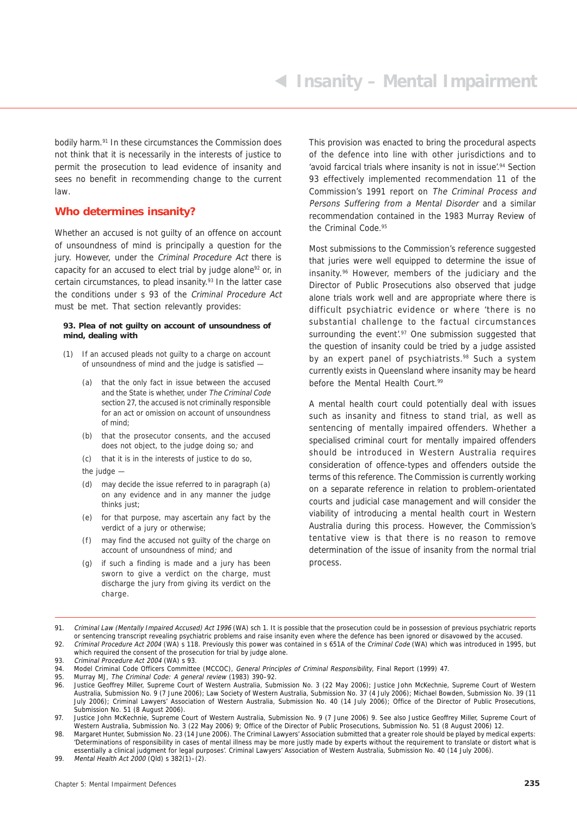bodily harm.91 In these circumstances the Commission does not think that it is necessarily in the interests of justice to permit the prosecution to lead evidence of insanity and sees no benefit in recommending change to the current law.

#### **Who determines insanity?**

Whether an accused is not guilty of an offence on account of unsoundness of mind is principally a question for the jury. However, under the Criminal Procedure Act there is capacity for an accused to elect trial by judge alone<sup>92</sup> or, in certain circumstances, to plead insanity.93 In the latter case the conditions under s 93 of the Criminal Procedure Act must be met. That section relevantly provides:

#### **93. Plea of not guilty on account of unsoundness of mind, dealing with**

- (1) If an accused pleads not guilty to a charge on account of unsoundness of mind and the judge is satisfied —
	- (a) that the only fact in issue between the accused and the State is whether, under The Criminal Code section 27, the accused is not criminally responsible for an act or omission on account of unsoundness of mind;
	- (b) that the prosecutor consents, and the accused does not object, to the judge doing so; and
	- (c) that it is in the interests of justice to do so,
	- the judge  $-$
	- (d) may decide the issue referred to in paragraph (a) on any evidence and in any manner the judge thinks just;
	- (e) for that purpose, may ascertain any fact by the verdict of a jury or otherwise;
	- (f) may find the accused not guilty of the charge on account of unsoundness of mind; and
	- (g) if such a finding is made and a jury has been sworn to give a verdict on the charge, must discharge the jury from giving its verdict on the charge.

This provision was enacted to bring the procedural aspects of the defence into line with other jurisdictions and to 'avoid farcical trials where insanity is not in issue'.<sup>94</sup> Section 93 effectively implemented recommendation 11 of the Commission's 1991 report on The Criminal Process and Persons Suffering from a Mental Disorder and a similar recommendation contained in the 1983 Murray Review of the Criminal Code.<sup>95</sup>

Most submissions to the Commission's reference suggested that juries were well equipped to determine the issue of insanity.96 However, members of the judiciary and the Director of Public Prosecutions also observed that judge alone trials work well and are appropriate where there is difficult psychiatric evidence or where 'there is no substantial challenge to the factual circumstances surrounding the event'.<sup>97</sup> One submission suggested that the question of insanity could be tried by a judge assisted by an expert panel of psychiatrists.<sup>98</sup> Such a system currently exists in Queensland where insanity may be heard before the Mental Health Court.<sup>99</sup>

A mental health court could potentially deal with issues such as insanity and fitness to stand trial, as well as sentencing of mentally impaired offenders. Whether a specialised criminal court for mentally impaired offenders should be introduced in Western Australia requires consideration of offence-types and offenders outside the terms of this reference. The Commission is currently working on a separate reference in relation to problem-orientated courts and judicial case management and will consider the viability of introducing a mental health court in Western Australia during this process. However, the Commission's tentative view is that there is no reason to remove determination of the issue of insanity from the normal trial process.

<sup>91.</sup> Criminal Law (Mentally Impaired Accused) Act 1996 (WA) sch 1. It is possible that the prosecution could be in possession of previous psychiatric reports or sentencing transcript revealing psychiatric problems and raise insanity even where the defence has been ignored or disavowed by the accused.

<sup>92.</sup> Criminal Procedure Act 2004 (WA) s 118. Previously this power was contained in s 651A of the Criminal Code (WA) which was introduced in 1995, but which required the consent of the prosecution for trial by judge alone.

<sup>93.</sup> Criminal Procedure Act 2004 (WA) s 93.

<sup>94.</sup> Model Criminal Code Officers Committee (MCCOC), General Principles of Criminal Responsibility, Final Report (1999) 47.<br>95. Murray MJ, The Criminal Code: A general review (1983) 390–92.

<sup>95.</sup> Murray MJ, The Criminal Code: A general review (1983) 390-92.<br>96. Lustice Geoffrey Miller Supreme Court of Western Australia, Sub

Justice Geoffrey Miller, Supreme Court of Western Australia, Submission No. 3 (22 May 2006); Justice John McKechnie, Supreme Court of Western Australia, Submission No. 9 (7 June 2006); Law Society of Western Australia, Submission No. 37 (4 July 2006); Michael Bowden, Submission No. 39 (11 July 2006); Criminal Lawyers' Association of Western Australia, Submission No. 40 (14 July 2006); Office of the Director of Public Prosecutions, Submission No. 51 (8 August 2006).

<sup>97.</sup> Justice John McKechnie, Supreme Court of Western Australia, Submission No. 9 (7 June 2006) 9. See also Justice Geoffrey Miller, Supreme Court of Western Australia, Submission No. 3 (22 May 2006) 9; Office of the Director of Public Prosecutions, Submission No. 51 (8 August 2006) 12.

<sup>98.</sup> Margaret Hunter, Submission No. 23 (14 June 2006). The Criminal Lawyers' Association submitted that a greater role should be played by medical experts: 'Determinations of responsibility in cases of mental illness may be more justly made by experts without the requirement to translate or distort what is essentially a clinical judgment for legal purposes'. Criminal Lawyers' Association of Western Australia, Submission No. 40 (14 July 2006).

<sup>99.</sup> Mental Health Act 2000 (Qld) s 382(1)–(2).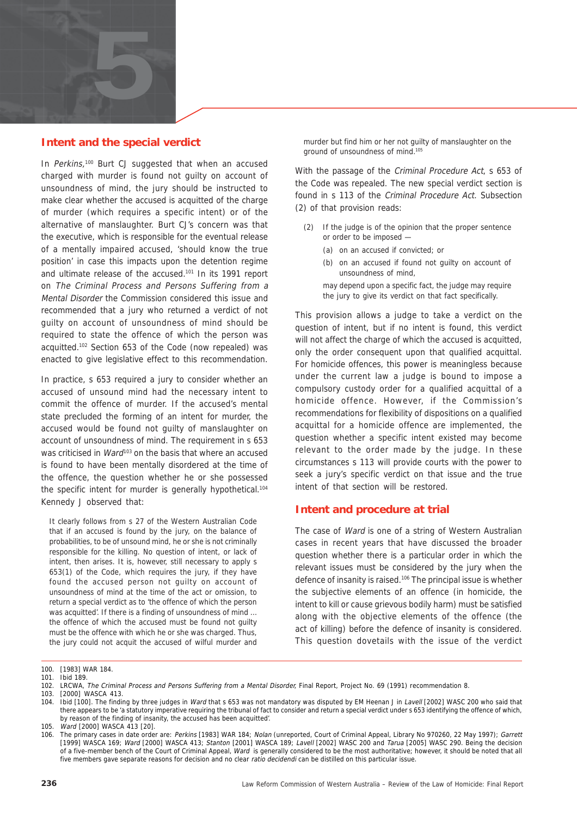

#### **Intent and the special verdict**

In Perkins,<sup>100</sup> Burt CJ suggested that when an accused charged with murder is found not guilty on account of unsoundness of mind, the jury should be instructed to make clear whether the accused is acquitted of the charge of murder (which requires a specific intent) or of the alternative of manslaughter. Burt CJ's concern was that the executive, which is responsible for the eventual release of a mentally impaired accused, 'should know the true position' in case this impacts upon the detention regime and ultimate release of the accused.101 In its 1991 report on The Criminal Process and Persons Suffering from a Mental Disorder the Commission considered this issue and recommended that a jury who returned a verdict of not guilty on account of unsoundness of mind should be required to state the offence of which the person was acquitted.102 Section 653 of the Code (now repealed) was enacted to give legislative effect to this recommendation.

In practice, s 653 required a jury to consider whether an accused of unsound mind had the necessary intent to commit the offence of murder. If the accused's mental state precluded the forming of an intent for murder, the accused would be found not guilty of manslaughter on account of unsoundness of mind. The requirement in s 653 was criticised in *Ward*<sup>103</sup> on the basis that where an accused is found to have been mentally disordered at the time of the offence, the question whether he or she possessed the specific intent for murder is generally hypothetical.<sup>104</sup> Kennedy J observed that:

It clearly follows from s 27 of the Western Australian Code that if an accused is found by the jury, on the balance of probabilities, to be of unsound mind, he or she is not criminally responsible for the killing. No question of intent, or lack of intent, then arises. It is, however, still necessary to apply s 653(1) of the Code, which requires the jury, if they have found the accused person not guilty on account of unsoundness of mind at the time of the act or omission, to return a special verdict as to 'the offence of which the person was acquitted'. If there is a finding of unsoundness of mind ... the offence of which the accused must be found not guilty must be the offence with which he or she was charged. Thus, the jury could not acquit the accused of wilful murder and

murder but find him or her not guilty of manslaughter on the ground of unsoundness of mind.105

With the passage of the *Criminal Procedure Act*, s 653 of the Code was repealed. The new special verdict section is found in s 113 of the Criminal Procedure Act. Subsection (2) of that provision reads:

- (2) If the judge is of the opinion that the proper sentence or order to be imposed —
	- (a) on an accused if convicted; or
	- (b) on an accused if found not guilty on account of unsoundness of mind,
	- may depend upon a specific fact, the judge may require the jury to give its verdict on that fact specifically.

This provision allows a judge to take a verdict on the question of intent, but if no intent is found, this verdict will not affect the charge of which the accused is acquitted, only the order consequent upon that qualified acquittal. For homicide offences, this power is meaningless because under the current law a judge is bound to impose a compulsory custody order for a qualified acquittal of a homicide offence. However, if the Commission's recommendations for flexibility of dispositions on a qualified acquittal for a homicide offence are implemented, the question whether a specific intent existed may become relevant to the order made by the judge. In these circumstances s 113 will provide courts with the power to seek a jury's specific verdict on that issue and the true intent of that section will be restored.

#### **Intent and procedure at trial**

The case of Ward is one of a string of Western Australian cases in recent years that have discussed the broader question whether there is a particular order in which the relevant issues must be considered by the jury when the defence of insanity is raised.106 The principal issue is whether the subjective elements of an offence (in homicide, the intent to kill or cause grievous bodily harm) must be satisfied along with the objective elements of the offence (the act of killing) before the defence of insanity is considered. This question dovetails with the issue of the verdict

<sup>100.</sup> [1983] WAR 184.

<sup>101.</sup> Ibid 189.

<sup>102.</sup> LRCWA, The Criminal Process and Persons Suffering from a Mental Disorder, Final Report, Project No. 69 (1991) recommendation 8.<br>103. [2000] WASCA 413.

<sup>[2000]</sup> WASCA 413.

<sup>104.</sup> Ibid [100]. The finding by three judges in Ward that s 653 was not mandatory was disputed by EM Heenan J in Lavell [2002] WASC 200 who said that there appears to be 'a statutory imperative requiring the tribunal of fact to consider and return a special verdict under s 653 identifying the offence of which, by reason of the finding of insanity, the accused has been acquitted'.

<sup>105.</sup> Ward [2000] WASCA 413 [20].

<sup>106.</sup> The primary cases in date order are: Perkins [1983] WAR 184; Nolan (unreported, Court of Criminal Appeal, Library No 970260, 22 May 1997); Garrett [1999] WASCA 169; Ward [2000] WASCA 413; Stanton [2001] WASCA 189; Lavell [2002] WASC 200 and Tarua [2005] WASC 290. Being the decision of a five-member bench of the Court of Criminal Appeal, Ward is generally considered to be the most authoritative; however, it should be noted that all five members gave separate reasons for decision and no clear ratio decidendi can be distilled on this particular issue.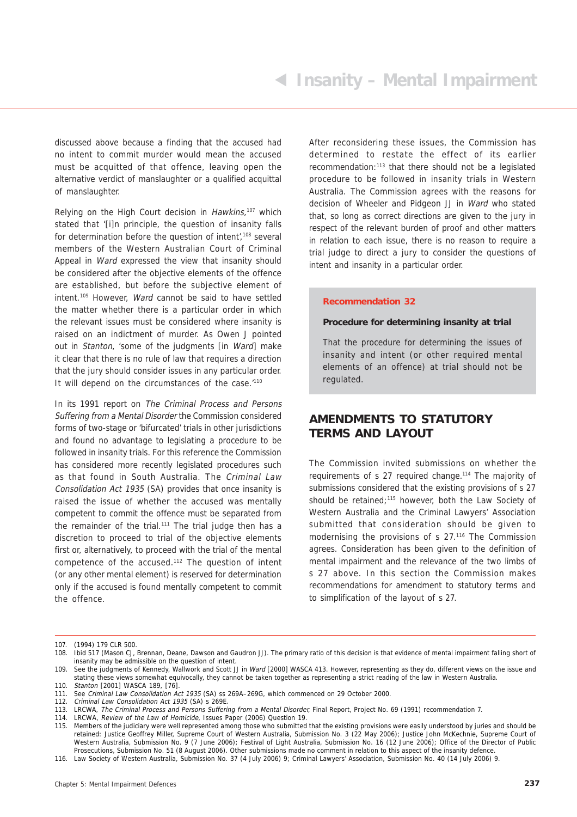discussed above because a finding that the accused had no intent to commit murder would mean the accused must be acquitted of that offence, leaving open the alternative verdict of manslaughter or a qualified acquittal of manslaughter.

Relying on the High Court decision in  $Hawkins$ ,<sup>107</sup> which stated that '[i]n principle, the question of insanity falls for determination before the question of intent',<sup>108</sup> several members of the Western Australian Court of Criminal Appeal in Ward expressed the view that insanity should be considered after the objective elements of the offence are established, but before the subjective element of intent.109 However, Ward cannot be said to have settled the matter whether there is a particular order in which the relevant issues must be considered where insanity is raised on an indictment of murder. As Owen J pointed out in Stanton, 'some of the judgments [in Ward] make it clear that there is no rule of law that requires a direction that the jury should consider issues in any particular order. It will depend on the circumstances of the case.<sup>'110</sup>

In its 1991 report on The Criminal Process and Persons Suffering from a Mental Disorder the Commission considered forms of two-stage or 'bifurcated' trials in other jurisdictions and found no advantage to legislating a procedure to be followed in insanity trials. For this reference the Commission has considered more recently legislated procedures such as that found in South Australia. The Criminal Law Consolidation Act 1935 (SA) provides that once insanity is raised the issue of whether the accused was mentally competent to commit the offence must be separated from the remainder of the trial.<sup>111</sup> The trial judge then has a discretion to proceed to trial of the objective elements first or, alternatively, to proceed with the trial of the mental competence of the accused.112 The question of intent (or any other mental element) is reserved for determination only if the accused is found mentally competent to commit the offence.

After reconsidering these issues, the Commission has determined to restate the effect of its earlier recommendation:113 that there should not be a legislated procedure to be followed in insanity trials in Western Australia. The Commission agrees with the reasons for decision of Wheeler and Pidgeon JJ in Ward who stated that, so long as correct directions are given to the jury in respect of the relevant burden of proof and other matters in relation to each issue, there is no reason to require a trial judge to direct a jury to consider the questions of intent and insanity in a particular order.

#### **Recommendation 32**

#### **Procedure for determining insanity at trial**

That the procedure for determining the issues of insanity and intent (or other required mental elements of an offence) at trial should not be regulated.

#### **AMENDMENTS TO STATUTORY TERMS AND LAYOUT**

The Commission invited submissions on whether the requirements of s 27 required change.114 The majority of submissions considered that the existing provisions of s 27 should be retained;<sup>115</sup> however, both the Law Society of Western Australia and the Criminal Lawyers' Association submitted that consideration should be given to modernising the provisions of s 27.116 The Commission agrees. Consideration has been given to the definition of mental impairment and the relevance of the two limbs of s 27 above. In this section the Commission makes recommendations for amendment to statutory terms and to simplification of the layout of s 27.

112. Criminal Law Consolidation Act 1935 (SA) s 269E.

116. Law Society of Western Australia, Submission No. 37 (4 July 2006) 9; Criminal Lawyers' Association, Submission No. 40 (14 July 2006) 9.

<sup>107. (1994) 179</sup> CLR 500.

<sup>108.</sup> Ibid 517 (Mason CJ, Brennan, Deane, Dawson and Gaudron JJ). The primary ratio of this decision is that evidence of mental impairment falling short of insanity may be admissible on the question of intent.

<sup>109.</sup> See the judgments of Kennedy, Wallwork and Scott JJ in Ward [2000] WASCA 413. However, representing as they do, different views on the issue and stating these views somewhat equivocally, they cannot be taken together as representing a strict reading of the law in Western Australia.

<sup>110.</sup> Stanton [2001] WASCA 189, [76].

<sup>111.</sup> See Criminal Law Consolidation Act 1935 (SA) ss 269A–269G, which commenced on 29 October 2000.

<sup>113.</sup> LRCWA, The Criminal Process and Persons Suffering from a Mental Disorder, Final Report, Project No. 69 (1991) recommendation 7.

<sup>114.</sup> LRCWA, Review of the Law of Homicide, Issues Paper (2006) Question 19.

<sup>115.</sup> Members of the judiciary were well represented among those who submitted that the existing provisions were easily understood by juries and should be retained: Justice Geoffrey Miller, Supreme Court of Western Australia, Submission No. 3 (22 May 2006); Justice John McKechnie, Supreme Court of Western Australia, Submission No. 9 (7 June 2006); Festival of Light Australia, Submission No. 16 (12 June 2006); Office of the Director of Public Prosecutions, Submission No. 51 (8 August 2006). Other submissions made no comment in relation to this aspect of the insanity defence.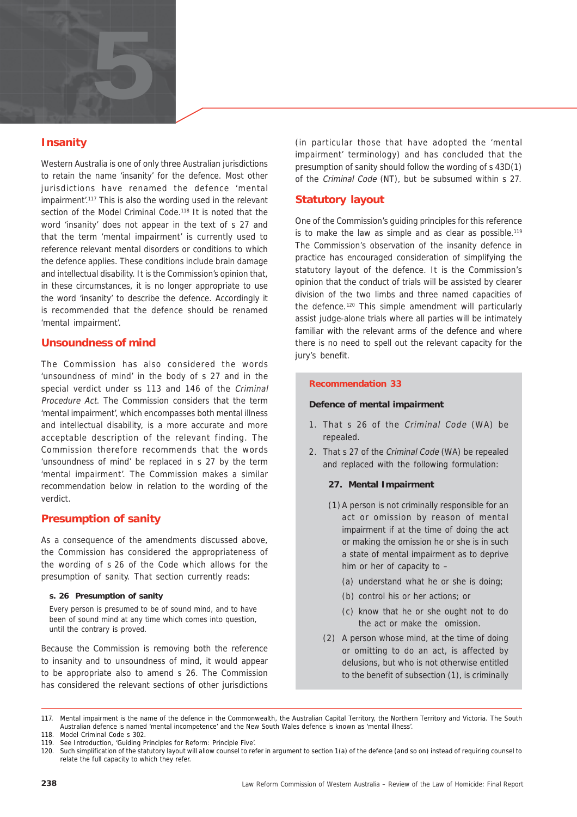

#### **Insanity**

Western Australia is one of only three Australian jurisdictions to retain the name 'insanity' for the defence. Most other jurisdictions have renamed the defence 'mental impairment'.<sup>117</sup> This is also the wording used in the relevant section of the Model Criminal Code.<sup>118</sup> It is noted that the word 'insanity' does not appear in the text of s 27 and that the term 'mental impairment' is currently used to reference relevant mental disorders or conditions to which the defence applies. These conditions include brain damage and intellectual disability. It is the Commission's opinion that, in these circumstances, it is no longer appropriate to use the word 'insanity' to describe the defence. Accordingly it is recommended that the defence should be renamed 'mental impairment'.

#### **Unsoundness of mind**

The Commission has also considered the words 'unsoundness of mind' in the body of s 27 and in the special verdict under ss 113 and 146 of the Criminal Procedure Act. The Commission considers that the term 'mental impairment', which encompasses both mental illness and intellectual disability, is a more accurate and more acceptable description of the relevant finding. The Commission therefore recommends that the words 'unsoundness of mind' be replaced in s 27 by the term 'mental impairment'. The Commission makes a similar recommendation below in relation to the wording of the verdict.

#### **Presumption of sanity**

As a consequence of the amendments discussed above, the Commission has considered the appropriateness of the wording of s 26 of the Code which allows for the presumption of sanity. That section currently reads:

#### **s. 26 Presumption of sanity**

Every person is presumed to be of sound mind, and to have been of sound mind at any time which comes into question, until the contrary is proved.

Because the Commission is removing both the reference to insanity and to unsoundness of mind, it would appear to be appropriate also to amend s 26. The Commission has considered the relevant sections of other jurisdictions

(in particular those that have adopted the 'mental impairment' terminology) and has concluded that the presumption of sanity should follow the wording of s 43D(1) of the Criminal Code (NT), but be subsumed within s 27.

#### **Statutory layout**

One of the Commission's guiding principles for this reference is to make the law as simple and as clear as possible.<sup>119</sup> The Commission's observation of the insanity defence in practice has encouraged consideration of simplifying the statutory layout of the defence. It is the Commission's opinion that the conduct of trials will be assisted by clearer division of the two limbs and three named capacities of the defence.120 This simple amendment will particularly assist judge-alone trials where all parties will be intimately familiar with the relevant arms of the defence and where there is no need to spell out the relevant capacity for the jury's benefit.

#### **Recommendation 33**

#### **Defence of mental impairment**

- 1. That s 26 of the Criminal Code (WA) be repealed.
- 2. That s 27 of the Criminal Code (WA) be repealed and replaced with the following formulation:

#### **27. Mental Impairment**

- (1) A person is not criminally responsible for an act or omission by reason of mental impairment if at the time of doing the act or making the omission he or she is in such a state of mental impairment as to deprive him or her of capacity to –
	- (a) understand what he or she is doing;
	- (b) control his or her actions; or
	- (c) know that he or she ought not to do the act or make the omission.
- (2) A person whose mind, at the time of doing or omitting to do an act, is affected by delusions, but who is not otherwise entitled to the benefit of subsection (1), is criminally

117. Mental impairment is the name of the defence in the Commonwealth, the Australian Capital Territory, the Northern Territory and Victoria. The South Australian defence is named 'mental incompetence' and the New South Wales defence is known as 'mental illness'. 118. Model Criminal Code s 302.

<sup>119.</sup> See Introduction, 'Guiding Principles for Reform: Principle Five'.

<sup>120.</sup> Such simplification of the statutory layout will allow counsel to refer in argument to section 1(a) of the defence (and so on) instead of requiring counsel to relate the full capacity to which they refer.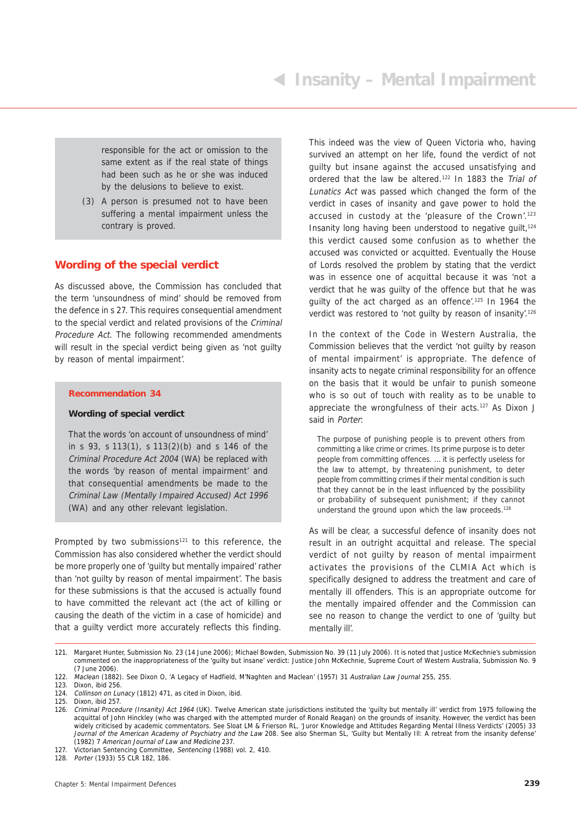responsible for the act or omission to the same extent as if the real state of things had been such as he or she was induced by the delusions to believe to exist.

(3) A person is presumed not to have been suffering a mental impairment unless the contrary is proved.

#### **Wording of the special verdict**

As discussed above, the Commission has concluded that the term 'unsoundness of mind' should be removed from the defence in s 27. This requires consequential amendment to the special verdict and related provisions of the Criminal Procedure Act. The following recommended amendments will result in the special verdict being given as 'not guilty by reason of mental impairment'.

#### **Recommendation 34**

#### **Wording of special verdict**

That the words 'on account of unsoundness of mind' in s 93, s 113(1), s 113(2)(b) and s 146 of the Criminal Procedure Act 2004 (WA) be replaced with the words 'by reason of mental impairment' and that consequential amendments be made to the Criminal Law (Mentally Impaired Accused) Act 1996 (WA) and any other relevant legislation.

Prompted by two submissions<sup>121</sup> to this reference, the Commission has also considered whether the verdict should be more properly one of 'guilty but mentally impaired' rather than 'not guilty by reason of mental impairment'. The basis for these submissions is that the accused is actually found to have committed the relevant act (the act of killing or causing the death of the victim in a case of homicide) and that a guilty verdict more accurately reflects this finding.

This indeed was the view of Queen Victoria who, having survived an attempt on her life, found the verdict of not guilty but insane against the accused unsatisfying and ordered that the law be altered.122 In 1883 the Trial of Lunatics Act was passed which changed the form of the verdict in cases of insanity and gave power to hold the accused in custody at the 'pleasure of the Crown'.<sup>123</sup> Insanity long having been understood to negative guilt, $124$ this verdict caused some confusion as to whether the accused was convicted or acquitted. Eventually the House of Lords resolved the problem by stating that the verdict was in essence one of acquittal because it was 'not a verdict that he was guilty of the offence but that he was guilty of the act charged as an offence'.<sup>125</sup> In 1964 the verdict was restored to 'not quilty by reason of insanity'.<sup>126</sup>

In the context of the Code in Western Australia, the Commission believes that the verdict 'not guilty by reason of mental impairment' is appropriate. The defence of insanity acts to negate criminal responsibility for an offence on the basis that it would be unfair to punish someone who is so out of touch with reality as to be unable to appreciate the wrongfulness of their acts.<sup>127</sup> As Dixon J said in Porter:

The purpose of punishing people is to prevent others from committing a like crime or crimes. Its prime purpose is to deter people from committing offences. … it is perfectly useless for the law to attempt, by threatening punishment, to deter people from committing crimes if their mental condition is such that they cannot be in the least influenced by the possibility or probability of subsequent punishment; if they cannot understand the ground upon which the law proceeds.<sup>128</sup>

As will be clear, a successful defence of insanity does not result in an outright acquittal and release. The special verdict of not guilty by reason of mental impairment activates the provisions of the CLMIA Act which is specifically designed to address the treatment and care of mentally ill offenders. This is an appropriate outcome for the mentally impaired offender and the Commission can see no reason to change the verdict to one of 'guilty but mentally ill'.

<sup>121.</sup> Margaret Hunter, Submission No. 23 (14 June 2006); Michael Bowden, Submission No. 39 (11 July 2006). It is noted that Justice McKechnie's submission commented on the inappropriateness of the 'guilty but insane' verdict: Justice John McKechnie, Supreme Court of Western Australia, Submission No. 9 (7 June 2006).

<sup>122.</sup> Maclean (1882). See Dixon O, 'A Legacy of Hadfield, M'Naghten and Maclean' (1957) 31 Australian Law Journal 255, 255.

<sup>123.</sup> Dixon, ibid 256.<br>124. Collinson on Lui Collinson on Lunacy (1812) 471, as cited in Dixon, ibid.

<sup>125.</sup> Dixon, ibid 257.

<sup>126.</sup> Criminal Procedure (Insanity) Act 1964 (UK). Twelve American state jurisdictions instituted the 'guilty but mentally ill' verdict from 1975 following the acquittal of John Hinckley (who was charged with the attempted murder of Ronald Reagan) on the grounds of insanity. However, the verdict has been widely criticised by academic commentators. See Sloat LM & Frierson RL, 'Juror Knowledge and Attitudes Regarding Mental Illness Verdicts' (2005) 33 Journal of the American Academy of Psychiatry and the Law 208. See also Sherman SL, 'Guilty but Mentally III: A retreat from the insanity defense' (1982) 7 American Journal of Law and Medicine 237.

<sup>127.</sup> Victorian Sentencing Committee, Sentencing (1988) vol. 2, 410.

<sup>128.</sup> Porter (1933) 55 CLR 182, 186.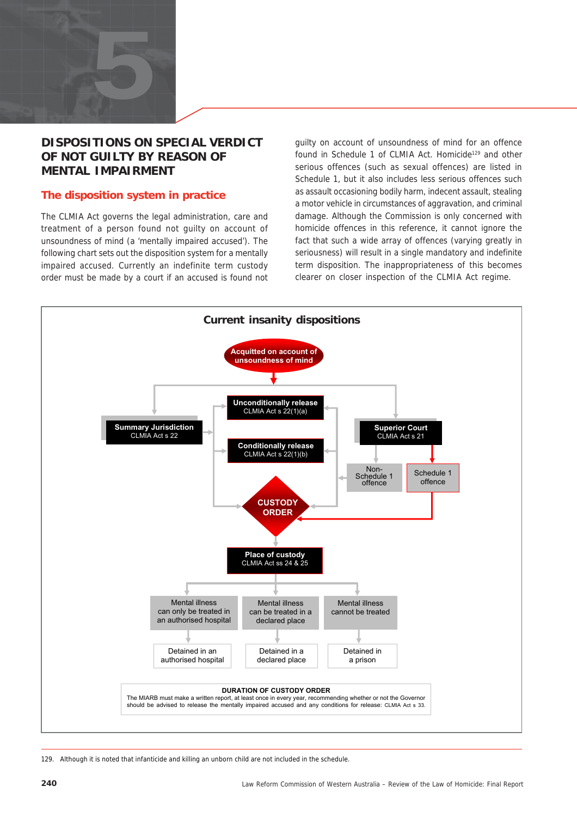

#### **DISPOSITIONS ON SPECIAL VERDICT OF NOT GUILTY BY REASON OF MENTAL IMPAIRMENT**

#### **The disposition system in practice**

The CLMIA Act governs the legal administration, care and treatment of a person found not guilty on account of unsoundness of mind (a 'mentally impaired accused'). The following chart sets out the disposition system for a mentally impaired accused. Currently an indefinite term custody order must be made by a court if an accused is found not

guilty on account of unsoundness of mind for an offence found in Schedule 1 of CLMIA Act. Homicide<sup>129</sup> and other serious offences (such as sexual offences) are listed in Schedule 1, but it also includes less serious offences such as assault occasioning bodily harm, indecent assault, stealing a motor vehicle in circumstances of aggravation, and criminal damage. Although the Commission is only concerned with homicide offences in this reference, it cannot ignore the fact that such a wide array of offences (varying greatly in seriousness) will result in a single mandatory and indefinite term disposition. The inappropriateness of this becomes clearer on closer inspection of the CLMIA Act regime.



129. Although it is noted that infanticide and killing an unborn child are not included in the schedule.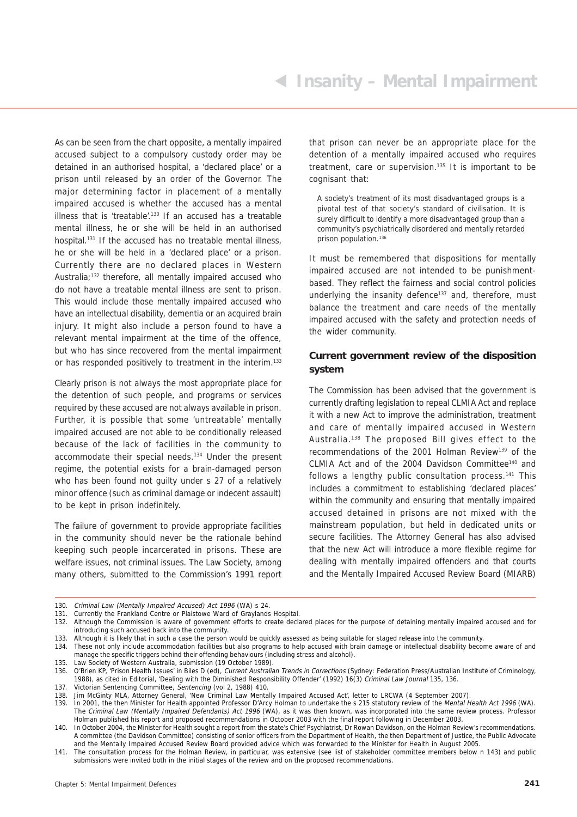As can be seen from the chart opposite, a mentally impaired accused subject to a compulsory custody order may be detained in an authorised hospital, a 'declared place' or a prison until released by an order of the Governor. The major determining factor in placement of a mentally impaired accused is whether the accused has a mental illness that is 'treatable'.<sup>130</sup> If an accused has a treatable mental illness, he or she will be held in an authorised hospital.<sup>131</sup> If the accused has no treatable mental illness, he or she will be held in a 'declared place' or a prison. Currently there are no declared places in Western Australia;132 therefore, all mentally impaired accused who do not have a treatable mental illness are sent to prison. This would include those mentally impaired accused who have an intellectual disability, dementia or an acquired brain injury. It might also include a person found to have a relevant mental impairment at the time of the offence, but who has since recovered from the mental impairment or has responded positively to treatment in the interim.<sup>133</sup>

Clearly prison is not always the most appropriate place for the detention of such people, and programs or services required by these accused are not always available in prison. Further, it is possible that some 'untreatable' mentally impaired accused are not able to be conditionally released because of the lack of facilities in the community to accommodate their special needs.134 Under the present regime, the potential exists for a brain-damaged person who has been found not guilty under s 27 of a relatively minor offence (such as criminal damage or indecent assault) to be kept in prison indefinitely.

The failure of government to provide appropriate facilities in the community should never be the rationale behind keeping such people incarcerated in prisons. These are welfare issues, not criminal issues. The Law Society, among many others, submitted to the Commission's 1991 report

that prison can never be an appropriate place for the detention of a mentally impaired accused who requires treatment, care or supervision.<sup>135</sup> It is important to be cognisant that:

A society's treatment of its most disadvantaged groups is a pivotal test of that society's standard of civilisation. It is surely difficult to identify a more disadvantaged group than a community's psychiatrically disordered and mentally retarded prison population.<sup>136</sup>

It must be remembered that dispositions for mentally impaired accused are not intended to be punishmentbased. They reflect the fairness and social control policies underlying the insanity defence<sup>137</sup> and, therefore, must balance the treatment and care needs of the mentally impaired accused with the safety and protection needs of the wider community.

#### **Current government review of the disposition system**

The Commission has been advised that the government is currently drafting legislation to repeal CLMIA Act and replace it with a new Act to improve the administration, treatment and care of mentally impaired accused in Western Australia.138 The proposed Bill gives effect to the recommendations of the 2001 Holman Review<sup>139</sup> of the CLMIA Act and of the 2004 Davidson Committee140 and follows a lengthy public consultation process.<sup>141</sup> This includes a commitment to establishing 'declared places' within the community and ensuring that mentally impaired accused detained in prisons are not mixed with the mainstream population, but held in dedicated units or secure facilities. The Attorney General has also advised that the new Act will introduce a more flexible regime for dealing with mentally impaired offenders and that courts and the Mentally Impaired Accused Review Board (MIARB)

<sup>130.</sup> Criminal Law (Mentally Impaired Accused) Act 1996 (WA) s 24.

<sup>131.</sup> Currently the Frankland Centre or Plaistowe Ward of Graylands Hospital.

<sup>132.</sup> Although the Commission is aware of government efforts to create declared places for the purpose of detaining mentally impaired accused and for introducing such accused back into the community.

<sup>133.</sup> Although it is likely that in such a case the person would be quickly assessed as being suitable for staged release into the community.

<sup>134.</sup> These not only include accommodation facilities but also programs to help accused with brain damage or intellectual disability become aware of and manage the specific triggers behind their offending behaviours (including stress and alcohol). 135. Law Society of Western Australia, submission (19 October 1989).

<sup>136.</sup> O'Brien KP, 'Prison Health Issues' in Biles D (ed), Current Australian Trends in Corrections (Sydney: Federation Press/Australian Institute of Criminology, 1988), as cited in Editorial, 'Dealing with the Diminished Responsibility Offender' (1992) 16(3) Criminal Law Journal 135, 136.

<sup>137.</sup> Victorian Sentencing Committee, Sentencing (vol 2, 1988) 410.

<sup>138.</sup> Jim McGinty MLA, Attorney General, 'New Criminal Law Mentally Impaired Accused Act', letter to LRCWA (4 September 2007).

<sup>139.</sup> In 2001, the then Minister for Health appointed Professor D'Arcy Holman to undertake the s 215 statutory review of the Mental Health Act 1996 (WA). The Criminal Law (Mentally Impaired Defendants) Act 1996 (WA), as it was then known, was incorporated into the same review process. Professor Holman published his report and proposed recommendations in October 2003 with the final report following in December 2003.

<sup>140.</sup> In October 2004, the Minister for Health sought a report from the state's Chief Psychiatrist, Dr Rowan Davidson, on the Holman Review's recommendations. A committee (the Davidson Committee) consisting of senior officers from the Department of Health, the then Department of Justice, the Public Advocate and the Mentally Impaired Accused Review Board provided advice which was forwarded to the Minister for Health in August 2005.

<sup>141.</sup> The consultation process for the Holman Review, in particular, was extensive (see list of stakeholder committee members below n 143) and public submissions were invited both in the initial stages of the review and on the proposed recommendations.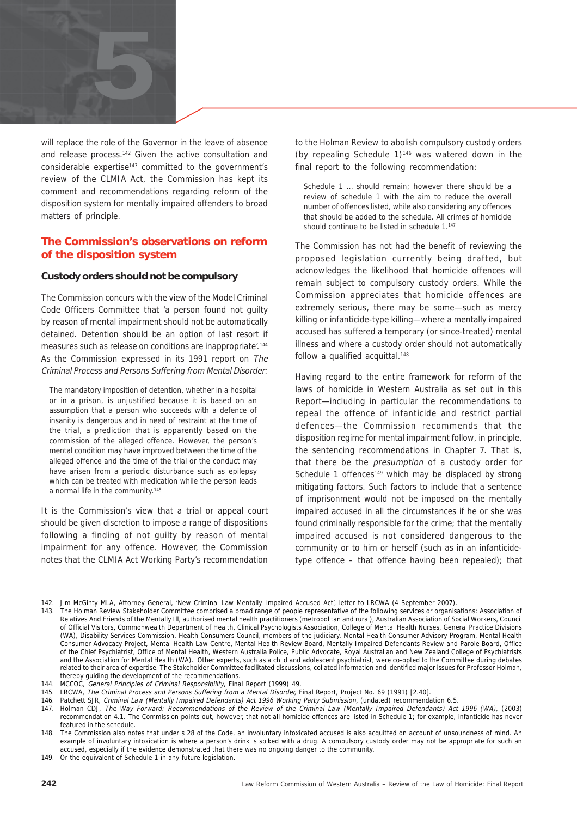

will replace the role of the Governor in the leave of absence and release process.142 Given the active consultation and considerable expertise<sup>143</sup> committed to the government's review of the CLMIA Act, the Commission has kept its comment and recommendations regarding reform of the disposition system for mentally impaired offenders to broad matters of principle.

#### **The Commission's observations on reform of the disposition system**

#### **Custody orders should not be compulsory**

The Commission concurs with the view of the Model Criminal Code Officers Committee that 'a person found not guilty by reason of mental impairment should not be automatically detained. Detention should be an option of last resort if measures such as release on conditions are inappropriate.<sup>144</sup> As the Commission expressed in its 1991 report on The Criminal Process and Persons Suffering from Mental Disorder:

The mandatory imposition of detention, whether in a hospital or in a prison, is unjustified because it is based on an assumption that a person who succeeds with a defence of insanity is dangerous and in need of restraint at the time of the trial, a prediction that is apparently based on the commission of the alleged offence. However, the person's mental condition may have improved between the time of the alleged offence and the time of the trial or the conduct may have arisen from a periodic disturbance such as epilepsy which can be treated with medication while the person leads a normal life in the community.<sup>145</sup>

It is the Commission's view that a trial or appeal court should be given discretion to impose a range of dispositions following a finding of not guilty by reason of mental impairment for any offence. However, the Commission notes that the CLMIA Act Working Party's recommendation to the Holman Review to abolish compulsory custody orders (by repealing Schedule  $1$ )<sup>146</sup> was watered down in the final report to the following recommendation:

Schedule 1 … should remain; however there should be a review of schedule 1 with the aim to reduce the overall number of offences listed, while also considering any offences that should be added to the schedule. All crimes of homicide should continue to be listed in schedule 1.<sup>147</sup>

The Commission has not had the benefit of reviewing the proposed legislation currently being drafted, but acknowledges the likelihood that homicide offences will remain subject to compulsory custody orders. While the Commission appreciates that homicide offences are extremely serious, there may be some—such as mercy killing or infanticide-type killing—where a mentally impaired accused has suffered a temporary (or since-treated) mental illness and where a custody order should not automatically follow a qualified acquittal.<sup>148</sup>

Having regard to the entire framework for reform of the laws of homicide in Western Australia as set out in this Report—including in particular the recommendations to repeal the offence of infanticide and restrict partial defences—the Commission recommends that the disposition regime for mental impairment follow, in principle, the sentencing recommendations in Chapter 7. That is, that there be the presumption of a custody order for Schedule 1 offences<sup>149</sup> which may be displaced by strong mitigating factors. Such factors to include that a sentence of imprisonment would not be imposed on the mentally impaired accused in all the circumstances if he or she was found criminally responsible for the crime; that the mentally impaired accused is not considered dangerous to the community or to him or herself (such as in an infanticidetype offence – that offence having been repealed); that

<sup>142.</sup> Jim McGinty MLA, Attorney General, 'New Criminal Law Mentally Impaired Accused Act', letter to LRCWA (4 September 2007).

<sup>143.</sup> The Holman Review Stakeholder Committee comprised a broad range of people representative of the following services or organisations: Association of Relatives And Friends of the Mentally Ill, authorised mental health practitioners (metropolitan and rural), Australian Association of Social Workers, Council of Official Visitors, Commonwealth Department of Health, Clinical Psychologists Association, College of Mental Health Nurses, General Practice Divisions (WA), Disability Services Commission, Health Consumers Council, members of the judiciary, Mental Health Consumer Advisory Program, Mental Health Consumer Advocacy Project, Mental Health Law Centre, Mental Health Review Board, Mentally Impaired Defendants Review and Parole Board, Office of the Chief Psychiatrist, Office of Mental Health, Western Australia Police, Public Advocate, Royal Australian and New Zealand College of Psychiatrists and the Association for Mental Health (WA). Other experts, such as a child and adolescent psychiatrist, were co-opted to the Committee during debates related to their area of expertise. The Stakeholder Committee facilitated discussions, collated information and identified major issues for Professor Holman, thereby guiding the development of the recommendations.

<sup>144.</sup> MCCOC, General Principles of Criminal Responsibility, Final Report (1999) 49.

<sup>145.</sup> LRCWA, The Criminal Process and Persons Suffering from a Mental Disorder, Final Report, Project No. 69 (1991) [2.40].

<sup>146.</sup> Patchett SJR, Criminal Law (Mentally Impaired Defendants) Act 1996 Working Party Submission, (undated) recommendation 6.5.

<sup>147.</sup> Holman CDJ, The Way Forward: Recommendations of the Review of the Criminal Law (Mentally Impaired Defendants) Act 1996 (WA), (2003) recommendation 4.1. The Commission points out, however, that not all homicide offences are listed in Schedule 1; for example, infanticide has never featured in the schedule.

<sup>148.</sup> The Commission also notes that under s 28 of the Code, an involuntary intoxicated accused is also acquitted on account of unsoundness of mind. An example of involuntary intoxication is where a person's drink is spiked with a drug. A compulsory custody order may not be appropriate for such an accused, especially if the evidence demonstrated that there was no ongoing danger to the community.

<sup>149.</sup> Or the equivalent of Schedule 1 in any future legislation.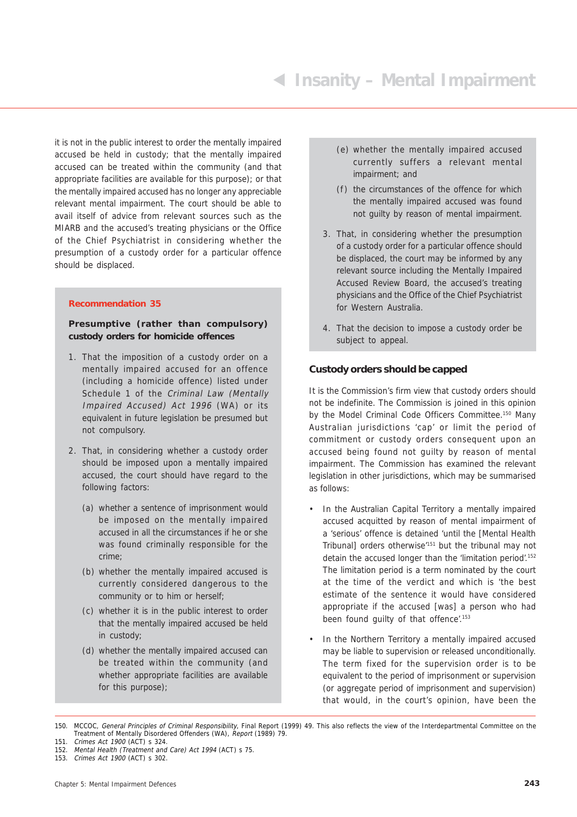it is not in the public interest to order the mentally impaired accused be held in custody; that the mentally impaired accused can be treated within the community (and that appropriate facilities are available for this purpose); or that the mentally impaired accused has no longer any appreciable relevant mental impairment. The court should be able to avail itself of advice from relevant sources such as the MIARB and the accused's treating physicians or the Office of the Chief Psychiatrist in considering whether the presumption of a custody order for a particular offence should be displaced.

#### **Recommendation 35**

#### **Presumptive (rather than compulsory) custody orders for homicide offences**

- 1. That the imposition of a custody order on a mentally impaired accused for an offence (including a homicide offence) listed under Schedule 1 of the Criminal Law (Mentally Impaired Accused) Act 1996 (WA) or its equivalent in future legislation be presumed but not compulsory.
- 2. That, in considering whether a custody order should be imposed upon a mentally impaired accused, the court should have regard to the following factors:
	- (a) whether a sentence of imprisonment would be imposed on the mentally impaired accused in all the circumstances if he or she was found criminally responsible for the crime;
	- (b) whether the mentally impaired accused is currently considered dangerous to the community or to him or herself;
	- (c) whether it is in the public interest to order that the mentally impaired accused be held in custody;
	- (d) whether the mentally impaired accused can be treated within the community (and whether appropriate facilities are available for this purpose);
- (e) whether the mentally impaired accused currently suffers a relevant mental impairment; and
- (f) the circumstances of the offence for which the mentally impaired accused was found not guilty by reason of mental impairment.
- 3. That, in considering whether the presumption of a custody order for a particular offence should be displaced, the court may be informed by any relevant source including the Mentally Impaired Accused Review Board, the accused's treating physicians and the Office of the Chief Psychiatrist for Western Australia.
- 4. That the decision to impose a custody order be subject to appeal.

#### **Custody orders should be capped**

It is the Commission's firm view that custody orders should not be indefinite. The Commission is joined in this opinion by the Model Criminal Code Officers Committee.<sup>150</sup> Many Australian jurisdictions 'cap' or limit the period of commitment or custody orders consequent upon an accused being found not guilty by reason of mental impairment. The Commission has examined the relevant legislation in other jurisdictions, which may be summarised as follows:

- In the Australian Capital Territory a mentally impaired accused acquitted by reason of mental impairment of a 'serious' offence is detained 'until the [Mental Health Tribunal] orders otherwise'151 but the tribunal may not detain the accused longer than the 'limitation period'.152 The limitation period is a term nominated by the court at the time of the verdict and which is 'the best estimate of the sentence it would have considered appropriate if the accused [was] a person who had been found guilty of that offence'.<sup>153</sup>
- In the Northern Territory a mentally impaired accused may be liable to supervision or released unconditionally. The term fixed for the supervision order is to be equivalent to the period of imprisonment or supervision (or aggregate period of imprisonment and supervision) that would, in the court's opinion, have been the

<sup>150.</sup> MCCOC, General Principles of Criminal Responsibility, Final Report (1999) 49. This also reflects the view of the Interdepartmental Committee on the Treatment of Mentally Disordered Offenders (WA), Report (1989) 79. 151. Crimes Act 1900 (ACT) s 324.

<sup>152.</sup> Mental Health (Treatment and Care) Act 1994 (ACT) s 75. 153. Crimes Act 1900 (ACT) s 302.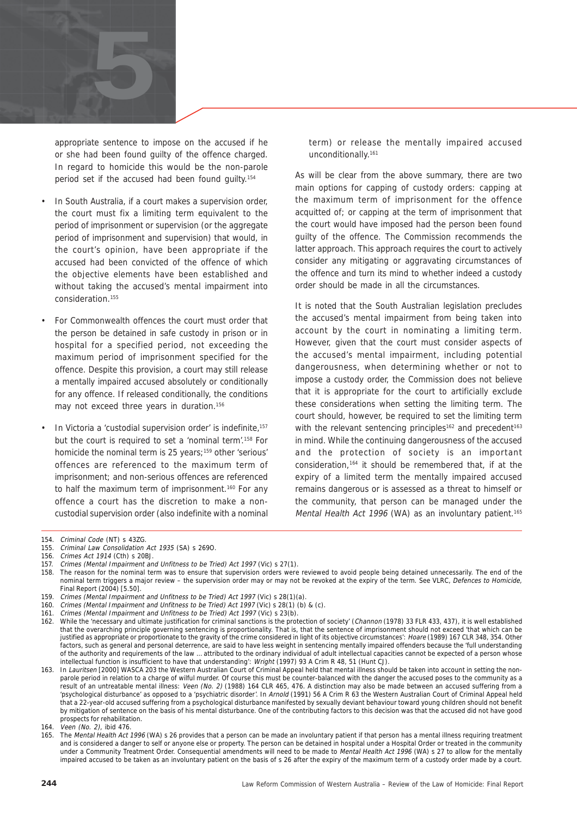

appropriate sentence to impose on the accused if he or she had been found guilty of the offence charged. In regard to homicide this would be the non-parole period set if the accused had been found guilty.154

- In South Australia, if a court makes a supervision order, the court must fix a limiting term equivalent to the period of imprisonment or supervision (or the aggregate period of imprisonment and supervision) that would, in the court's opinion, have been appropriate if the accused had been convicted of the offence of which the objective elements have been established and without taking the accused's mental impairment into consideration.155
- For Commonwealth offences the court must order that the person be detained in safe custody in prison or in hospital for a specified period, not exceeding the maximum period of imprisonment specified for the offence. Despite this provision, a court may still release a mentally impaired accused absolutely or conditionally for any offence. If released conditionally, the conditions may not exceed three years in duration.<sup>156</sup>
- In Victoria a 'custodial supervision order' is indefinite,<sup>157</sup> but the court is required to set a 'nominal term'.158 For homicide the nominal term is 25 years;159 other 'serious' offences are referenced to the maximum term of imprisonment; and non-serious offences are referenced to half the maximum term of imprisonment.<sup>160</sup> For any offence a court has the discretion to make a noncustodial supervision order (also indefinite with a nominal

term) or release the mentally impaired accused unconditionally.<sup>161</sup>

As will be clear from the above summary, there are two main options for capping of custody orders: capping at the maximum term of imprisonment for the offence acquitted of; or capping at the term of imprisonment that the court would have imposed had the person been found guilty of the offence. The Commission recommends the latter approach. This approach requires the court to actively consider any mitigating or aggravating circumstances of the offence and turn its mind to whether indeed a custody order should be made in all the circumstances.

It is noted that the South Australian legislation precludes the accused's mental impairment from being taken into account by the court in nominating a limiting term. However, given that the court must consider aspects of the accused's mental impairment, including potential dangerousness, when determining whether or not to impose a custody order, the Commission does not believe that it is appropriate for the court to artificially exclude these considerations when setting the limiting term. The court should, however, be required to set the limiting term with the relevant sentencing principles<sup>162</sup> and precedent<sup>163</sup> in mind. While the continuing dangerousness of the accused and the protection of society is an important consideration,164 it should be remembered that, if at the expiry of a limited term the mentally impaired accused remains dangerous or is assessed as a threat to himself or the community, that person can be managed under the Mental Health Act 1996 (WA) as an involuntary patient.<sup>165</sup>

- 157. Crimes (Mental Impairment and Unfitness to be Tried) Act 1997 (Vic) s 27(1).
- 158. The reason for the nominal term was to ensure that supervision orders were reviewed to avoid people being detained unnecessarily. The end of the nominal term triggers a major review – the supervision order may or may not be revoked at the expiry of the term. See VLRC, Defences to Homicide, Final Report (2004) [5.50].
- 159. Crimes (Mental Impairment and Unfitness to be Tried) Act 1997 (Vic) s 28(1)(a).
- 160. Crimes (Mental Impairment and Unfitness to be Tried) Act 1997 (Vic) s 28(1) (b) & (c).
- 161. Crimes (Mental Impairment and Unfitness to be Tried) Act 1997 (Vic) s 23(b).<br>162. While the 'necessary and ultimate iustification for criminal sanctions is the prot
- 162. While the 'necessary and ultimate justification for criminal sanctions is the protection of society' (Channon (1978) 33 FLR 433, 437), it is well established that the overarching principle governing sentencing is proportionality. That is, that the sentence of imprisonment should not exceed 'that which can be justified as appropriate or proportionate to the gravity of the crime considered in light of its objective circumstances': Hoare (1989) 167 CLR 348, 354. Other factors, such as general and personal deterrence, are said to have less weight in sentencing mentally impaired offenders because the 'full understanding of the authority and requirements of the law … attributed to the ordinary individual of adult intellectual capacities cannot be expected of a person whose intellectual function is insufficient to have that understanding': Wright (1997) 93 A Crim R 48, 51 (Hunt CJ).
- 163. In Lauritsen [2000] WASCA 203 the Western Australian Court of Criminal Appeal held that mental illness should be taken into account in setting the nonparole period in relation to a charge of wilful murder. Of course this must be counter-balanced with the danger the accused poses to the community as a result of an untreatable mental illness: Veen (No. 2) (1988) 164 CLR 465, 476. A distinction may also be made between an accused suffering from a 'psychological disturbance' as opposed to a 'psychiatric disorder'. In Arnold (1991) 56 A Crim R 63 the Western Australian Court of Criminal Appeal held that a 22-year-old accused suffering from a psychological disturbance manifested by sexually deviant behaviour toward young children should not benefit by mitigation of sentence on the basis of his mental disturbance. One of the contributing factors to this decision was that the accused did not have good prospects for rehabilitation.
- 164. Veen (No. 2), ibid 476.
- The Mental Health Act 1996 (WA) s 26 provides that a person can be made an involuntary patient if that person has a mental illness requiring treatment and is considered a danger to self or anyone else or property. The person can be detained in hospital under a Hospital Order or treated in the community under a Community Treatment Order. Consequential amendments will need to be made to Mental Health Act 1996 (WA) s 27 to allow for the mentally impaired accused to be taken as an involuntary patient on the basis of s 26 after the expiry of the maximum term of a custody order made by a court.

<sup>154.</sup> Criminal Code (NT) s 43ZG.

<sup>155.</sup> Criminal Law Consolidation Act 1935 (SA) s 269O.

<sup>156.</sup> Crimes Act 1914 (Cth) s 20BJ.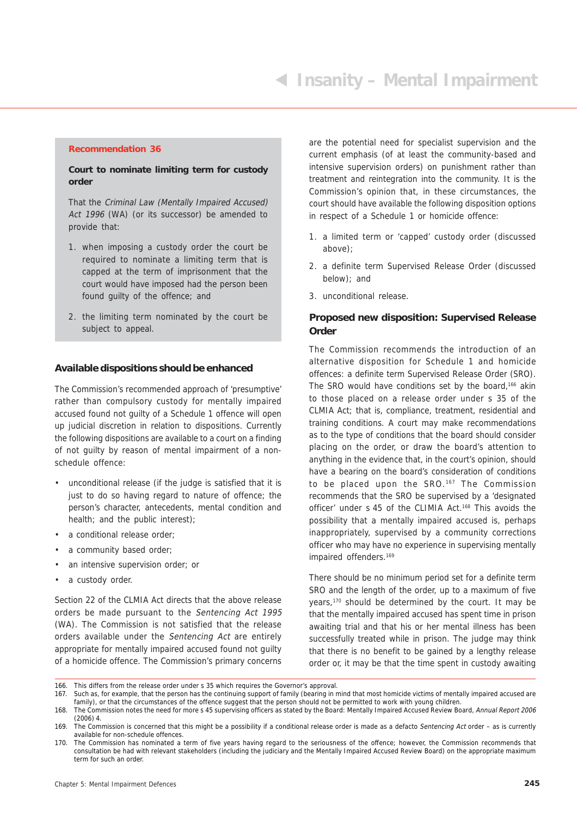#### **Recommendation 36**

#### **Court to nominate limiting term for custody order**

That the Criminal Law (Mentally Impaired Accused) Act 1996 (WA) (or its successor) be amended to provide that:

- 1. when imposing a custody order the court be required to nominate a limiting term that is capped at the term of imprisonment that the court would have imposed had the person been found guilty of the offence; and
- 2. the limiting term nominated by the court be subject to appeal.

#### **Available dispositions should be enhanced**

The Commission's recommended approach of 'presumptive' rather than compulsory custody for mentally impaired accused found not guilty of a Schedule 1 offence will open up judicial discretion in relation to dispositions. Currently the following dispositions are available to a court on a finding of not guilty by reason of mental impairment of a nonschedule offence:

- unconditional release (if the judge is satisfied that it is just to do so having regard to nature of offence; the person's character, antecedents, mental condition and health; and the public interest);
- a conditional release order;
- a community based order;
- an intensive supervision order; or
- a custody order.

Section 22 of the CLMIA Act directs that the above release orders be made pursuant to the Sentencing Act 1995 (WA). The Commission is not satisfied that the release orders available under the Sentencing Act are entirely appropriate for mentally impaired accused found not guilty of a homicide offence. The Commission's primary concerns

are the potential need for specialist supervision and the current emphasis (of at least the community-based and intensive supervision orders) on punishment rather than treatment and reintegration into the community. It is the Commission's opinion that, in these circumstances, the court should have available the following disposition options in respect of a Schedule 1 or homicide offence:

- 1. a limited term or 'capped' custody order (discussed above);
- 2. a definite term Supervised Release Order (discussed below); and
- 3. unconditional release.

#### **Proposed new disposition: Supervised Release Order**

The Commission recommends the introduction of an alternative disposition for Schedule 1 and homicide offences: a definite term Supervised Release Order (SRO). The SRO would have conditions set by the board,<sup>166</sup> akin to those placed on a release order under s 35 of the CLMIA Act; that is, compliance, treatment, residential and training conditions. A court may make recommendations as to the type of conditions that the board should consider placing on the order, or draw the board's attention to anything in the evidence that, in the court's opinion, should have a bearing on the board's consideration of conditions to be placed upon the SRO.<sup>167</sup> The Commission recommends that the SRO be supervised by a 'designated officer' under s 45 of the CLIMIA Act.168 This avoids the possibility that a mentally impaired accused is, perhaps inappropriately, supervised by a community corrections officer who may have no experience in supervising mentally impaired offenders.169

There should be no minimum period set for a definite term SRO and the length of the order, up to a maximum of five years,<sup>170</sup> should be determined by the court. It may be that the mentally impaired accused has spent time in prison awaiting trial and that his or her mental illness has been successfully treated while in prison. The judge may think that there is no benefit to be gained by a lengthy release order or, it may be that the time spent in custody awaiting

<sup>166.</sup> This differs from the release order under s 35 which requires the Governor's approval.

<sup>167.</sup> Such as, for example, that the person has the continuing support of family (bearing in mind that most homicide victims of mentally impaired accused are family), or that the circumstances of the offence suggest that the person should not be permitted to work with young children.

<sup>168.</sup> The Commission notes the need for more s 45 supervising officers as stated by the Board: Mentally Impaired Accused Review Board, Annual Report 2006 (2006) 4.

<sup>169.</sup> The Commission is concerned that this might be a possibility if a conditional release order is made as a defacto Sentencing Act order – as is currently available for non-schedule offences.

<sup>170.</sup> The Commission has nominated a term of five years having regard to the seriousness of the offence; however, the Commission recommends that consultation be had with relevant stakeholders (including the judiciary and the Mentally Impaired Accused Review Board) on the appropriate maximum term for such an order.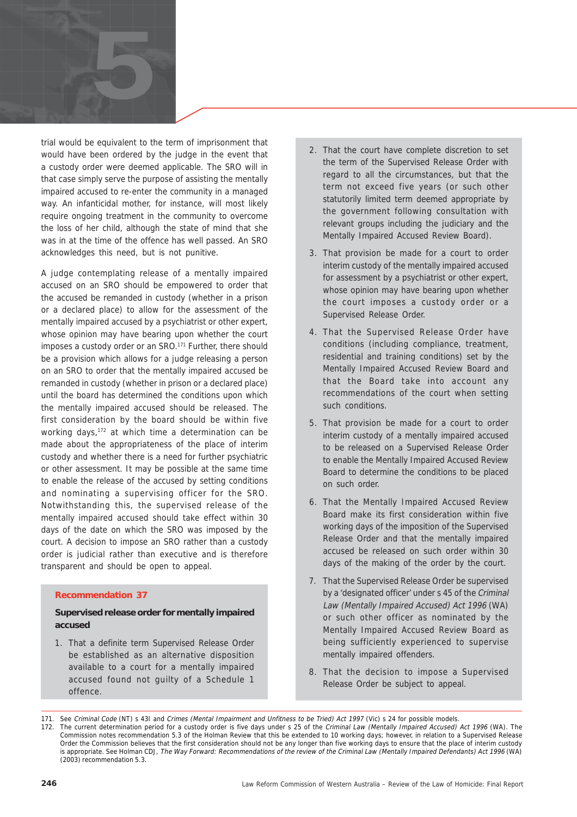

trial would be equivalent to the term of imprisonment that would have been ordered by the judge in the event that a custody order were deemed applicable. The SRO will in that case simply serve the purpose of assisting the mentally impaired accused to re-enter the community in a managed way. An infanticidal mother, for instance, will most likely require ongoing treatment in the community to overcome the loss of her child, although the state of mind that she was in at the time of the offence has well passed. An SRO acknowledges this need, but is not punitive.

A judge contemplating release of a mentally impaired accused on an SRO should be empowered to order that the accused be remanded in custody (whether in a prison or a declared place) to allow for the assessment of the mentally impaired accused by a psychiatrist or other expert, whose opinion may have bearing upon whether the court imposes a custody order or an SRO.<sup>171</sup> Further, there should be a provision which allows for a judge releasing a person on an SRO to order that the mentally impaired accused be remanded in custody (whether in prison or a declared place) until the board has determined the conditions upon which the mentally impaired accused should be released. The first consideration by the board should be within five working days,<sup>172</sup> at which time a determination can be made about the appropriateness of the place of interim custody and whether there is a need for further psychiatric or other assessment. It may be possible at the same time to enable the release of the accused by setting conditions and nominating a supervising officer for the SRO. Notwithstanding this, the supervised release of the mentally impaired accused should take effect within 30 days of the date on which the SRO was imposed by the court. A decision to impose an SRO rather than a custody order is judicial rather than executive and is therefore transparent and should be open to appeal.

#### **Recommendation 37**

#### **Supervised release order for mentally impaired accused**

1. That a definite term Supervised Release Order be established as an alternative disposition available to a court for a mentally impaired accused found not guilty of a Schedule 1 offence.

- 2. That the court have complete discretion to set the term of the Supervised Release Order with regard to all the circumstances, but that the term not exceed five years (or such other statutorily limited term deemed appropriate by the government following consultation with relevant groups including the judiciary and the Mentally Impaired Accused Review Board).
- 3. That provision be made for a court to order interim custody of the mentally impaired accused for assessment by a psychiatrist or other expert, whose opinion may have bearing upon whether the court imposes a custody order or a Supervised Release Order.
- 4. That the Supervised Release Order have conditions (including compliance, treatment, residential and training conditions) set by the Mentally Impaired Accused Review Board and that the Board take into account any recommendations of the court when setting such conditions.
- 5. That provision be made for a court to order interim custody of a mentally impaired accused to be released on a Supervised Release Order to enable the Mentally Impaired Accused Review Board to determine the conditions to be placed on such order.
- 6. That the Mentally Impaired Accused Review Board make its first consideration within five working days of the imposition of the Supervised Release Order and that the mentally impaired accused be released on such order within 30 days of the making of the order by the court.
- 7. That the Supervised Release Order be supervised by a 'designated officer' under s 45 of the Criminal Law (Mentally Impaired Accused) Act 1996 (WA) or such other officer as nominated by the Mentally Impaired Accused Review Board as being sufficiently experienced to supervise mentally impaired offenders.
- 8. That the decision to impose a Supervised Release Order be subject to appeal.

<sup>171.</sup> See Criminal Code (NT) s 431 and Crimes (Mental Impairment and Unfitness to be Tried) Act 1997 (Vic) s 24 for possible models.

<sup>172.</sup> The current determination period for a custody order is five days under s 25 of the Criminal Law (Mentally Impaired Accused) Act 1996 (WA). The Commission notes recommendation 5.3 of the Holman Review that this be extended to 10 working days; however, in relation to a Supervised Release Order the Commission believes that the first consideration should not be any longer than five working days to ensure that the place of interim custody is appropriate. See Holman CDJ, The Way Forward: Recommendations of the review of the Criminal Law (Mentally Impaired Defendants) Act 1996 (WA) (2003) recommendation 5.3.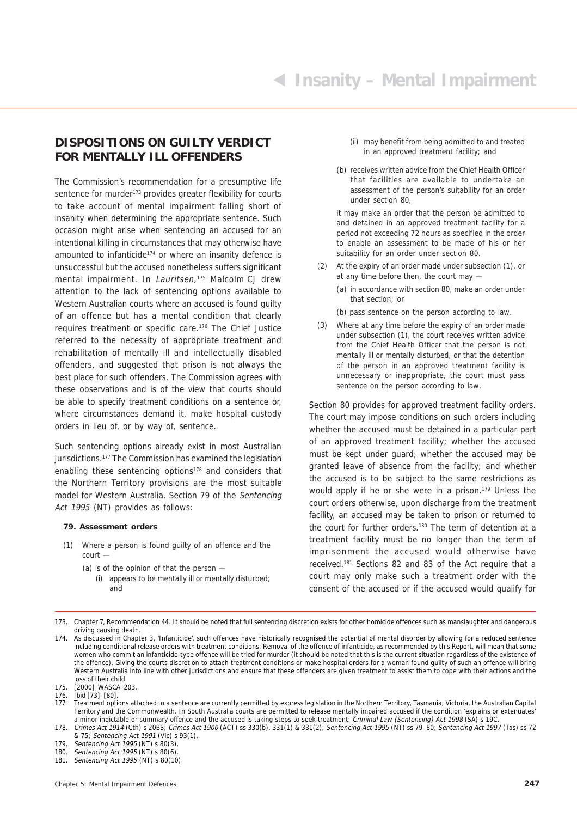#### **DISPOSITIONS ON GUILTY VERDICT FOR MENTALLY ILL OFFENDERS**

The Commission's recommendation for a presumptive life sentence for murder<sup>173</sup> provides greater flexibility for courts to take account of mental impairment falling short of insanity when determining the appropriate sentence. Such occasion might arise when sentencing an accused for an intentional killing in circumstances that may otherwise have amounted to infanticide<sup>174</sup> or where an insanity defence is unsuccessful but the accused nonetheless suffers significant mental impairment. In Lauritsen,<sup>175</sup> Malcolm CJ drew attention to the lack of sentencing options available to Western Australian courts where an accused is found guilty of an offence but has a mental condition that clearly requires treatment or specific care.176 The Chief Justice referred to the necessity of appropriate treatment and rehabilitation of mentally ill and intellectually disabled offenders, and suggested that prison is not always the best place for such offenders. The Commission agrees with these observations and is of the view that courts should be able to specify treatment conditions on a sentence or, where circumstances demand it, make hospital custody orders in lieu of, or by way of, sentence.

Such sentencing options already exist in most Australian jurisdictions.<sup>177</sup> The Commission has examined the legislation enabling these sentencing options<sup>178</sup> and considers that the Northern Territory provisions are the most suitable model for Western Australia. Section 79 of the Sentencing Act 1995 (NT) provides as follows:

#### **79. Assessment orders**

(1) Where a person is found guilty of an offence and the court —

(a) is of the opinion of that the person —

(i) appears to be mentally ill or mentally disturbed; and

- (ii) may benefit from being admitted to and treated in an approved treatment facility; and
- (b) receives written advice from the Chief Health Officer that facilities are available to undertake an assessment of the person's suitability for an order under section 80,

it may make an order that the person be admitted to and detained in an approved treatment facility for a period not exceeding 72 hours as specified in the order to enable an assessment to be made of his or her suitability for an order under section 80.

- At the expiry of an order made under subsection (1), or at any time before then, the court may —
	- (a) in accordance with section 80, make an order under that section; or
	- (b) pass sentence on the person according to law.
- (3) Where at any time before the expiry of an order made under subsection (1), the court receives written advice from the Chief Health Officer that the person is not mentally ill or mentally disturbed, or that the detention of the person in an approved treatment facility is unnecessary or inappropriate, the court must pass sentence on the person according to law.

Section 80 provides for approved treatment facility orders. The court may impose conditions on such orders including whether the accused must be detained in a particular part of an approved treatment facility; whether the accused must be kept under guard; whether the accused may be granted leave of absence from the facility; and whether the accused is to be subject to the same restrictions as would apply if he or she were in a prison.179 Unless the court orders otherwise, upon discharge from the treatment facility, an accused may be taken to prison or returned to the court for further orders.<sup>180</sup> The term of detention at a treatment facility must be no longer than the term of imprisonment the accused would otherwise have received.181 Sections 82 and 83 of the Act require that a court may only make such a treatment order with the consent of the accused or if the accused would qualify for

177. Treatment options attached to a sentence are currently permitted by express legislation in the Northern Territory, Tasmania, Victoria, the Australian Capital Territory and the Commonwealth. In South Australia courts are permitted to release mentally impaired accused if the condition 'explains or extenuates' a minor indictable or summary offence and the accused is taking steps to seek treatment: Criminal Law (Sentencing) Act 1998 (SA) s 19C.

<sup>173.</sup> Chapter 7, Recommendation 44. It should be noted that full sentencing discretion exists for other homicide offences such as manslaughter and dangerous driving causing death.

<sup>174.</sup> As discussed in Chapter 3, 'Infanticide', such offences have historically recognised the potential of mental disorder by allowing for a reduced sentence including conditional release orders with treatment conditions. Removal of the offence of infanticide, as recommended by this Report, will mean that some women who commit an infanticide-type offence will be tried for murder (it should be noted that this is the current situation regardless of the existence of the offence). Giving the courts discretion to attach treatment conditions or make hospital orders for a woman found guilty of such an offence will bring Western Australia into line with other jurisdictions and ensure that these offenders are given treatment to assist them to cope with their actions and the loss of their child.

<sup>175.</sup> [2000] WASCA 203.

<sup>176.</sup> Ibid [73]–[80].

<sup>178.</sup> Crimes Act 1914 (Cth) s 20BS; Crimes Act 1900 (ACT) ss 330(b), 331(1) & 331(2); Sentencing Act 1995 (NT) ss 79–80; Sentencing Act 1997 (Tas) ss 72 & 75; Sentencing Act 1991 (Vic) s 93(1).

<sup>179.</sup> Sentencing Act 1995 (NT) s 80(3).<br>180. Sentencing Act 1995 (NT) s 80(6).

Sentencing Act 1995 (NT) s  $80(6)$ .

<sup>181.</sup> Sentencing Act 1995 (NT) s 80(10).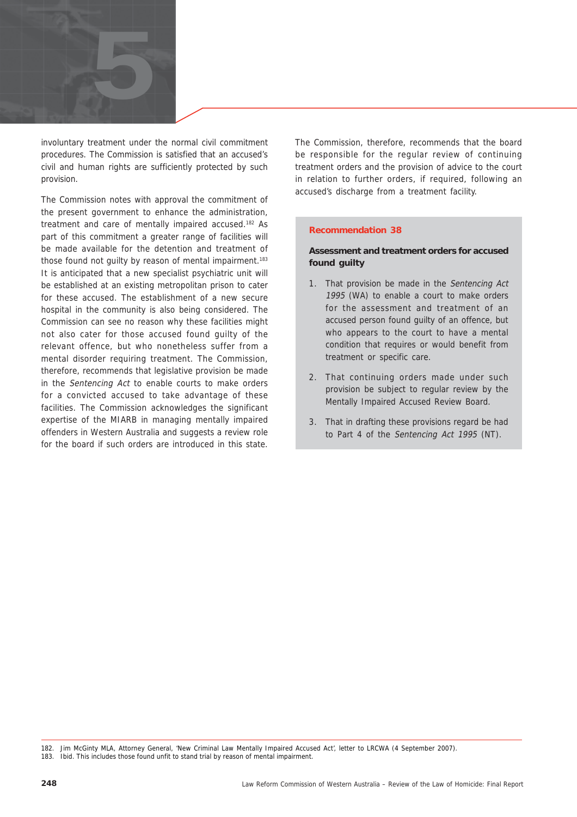

involuntary treatment under the normal civil commitment procedures. The Commission is satisfied that an accused's civil and human rights are sufficiently protected by such provision.

The Commission notes with approval the commitment of the present government to enhance the administration, treatment and care of mentally impaired accused.182 As part of this commitment a greater range of facilities will be made available for the detention and treatment of those found not quilty by reason of mental impairment.<sup>183</sup> It is anticipated that a new specialist psychiatric unit will be established at an existing metropolitan prison to cater for these accused. The establishment of a new secure hospital in the community is also being considered. The Commission can see no reason why these facilities might not also cater for those accused found guilty of the relevant offence, but who nonetheless suffer from a mental disorder requiring treatment. The Commission, therefore, recommends that legislative provision be made in the Sentencing Act to enable courts to make orders for a convicted accused to take advantage of these facilities. The Commission acknowledges the significant expertise of the MIARB in managing mentally impaired offenders in Western Australia and suggests a review role for the board if such orders are introduced in this state.

The Commission, therefore, recommends that the board be responsible for the regular review of continuing treatment orders and the provision of advice to the court in relation to further orders, if required, following an accused's discharge from a treatment facility.

#### **Recommendation 38**

#### **Assessment and treatment orders for accused found guilty**

- 1. That provision be made in the Sentencing Act 1995 (WA) to enable a court to make orders for the assessment and treatment of an accused person found guilty of an offence, but who appears to the court to have a mental condition that requires or would benefit from treatment or specific care.
- 2. That continuing orders made under such provision be subject to regular review by the Mentally Impaired Accused Review Board.
- 3. That in drafting these provisions regard be had to Part 4 of the Sentencing Act 1995 (NT).

<sup>182.</sup> Jim McGinty MLA, Attorney General, 'New Criminal Law Mentally Impaired Accused Act', letter to LRCWA (4 September 2007).

<sup>183.</sup> Ibid. This includes those found unfit to stand trial by reason of mental impairment.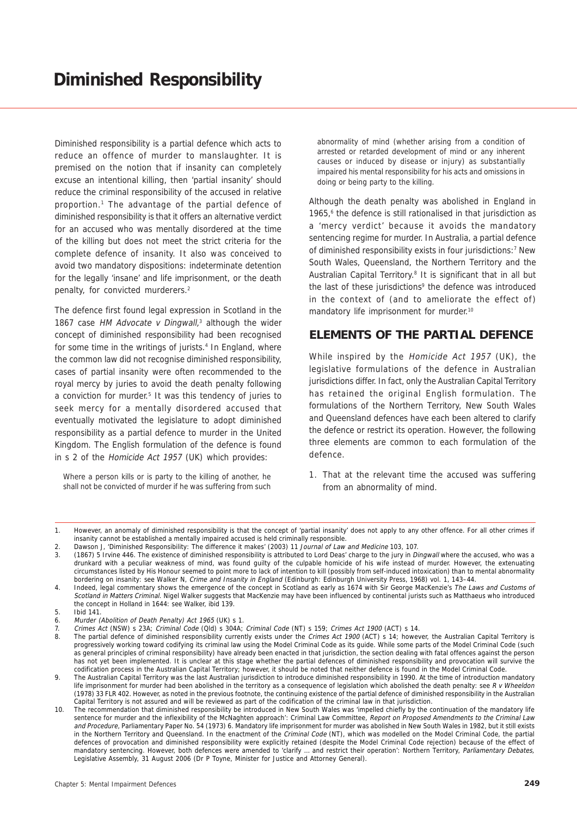Diminished responsibility is a partial defence which acts to reduce an offence of murder to manslaughter. It is premised on the notion that if insanity can completely excuse an intentional killing, then 'partial insanity' should reduce the criminal responsibility of the accused in relative proportion.1 The advantage of the partial defence of diminished responsibility is that it offers an alternative verdict for an accused who was mentally disordered at the time of the killing but does not meet the strict criteria for the complete defence of insanity. It also was conceived to avoid two mandatory dispositions: indeterminate detention for the legally 'insane' and life imprisonment, or the death penalty, for convicted murderers.<sup>2</sup>

The defence first found legal expression in Scotland in the 1867 case HM Advocate v Dingwall, $3$  although the wider concept of diminished responsibility had been recognised for some time in the writings of jurists.<sup>4</sup> In England, where the common law did not recognise diminished responsibility, cases of partial insanity were often recommended to the royal mercy by juries to avoid the death penalty following a conviction for murder.<sup>5</sup> It was this tendency of juries to seek mercy for a mentally disordered accused that eventually motivated the legislature to adopt diminished responsibility as a partial defence to murder in the United Kingdom. The English formulation of the defence is found in s 2 of the Homicide Act 1957 (UK) which provides:

Where a person kills or is party to the killing of another, he shall not be convicted of murder if he was suffering from such abnormality of mind (whether arising from a condition of arrested or retarded development of mind or any inherent causes or induced by disease or injury) as substantially impaired his mental responsibility for his acts and omissions in doing or being party to the killing.

Although the death penalty was abolished in England in 1965,<sup>6</sup> the defence is still rationalised in that jurisdiction as a 'mercy verdict' because it avoids the mandatory sentencing regime for murder. In Australia, a partial defence of diminished responsibility exists in four jurisdictions:<sup>7</sup> New South Wales, Queensland, the Northern Territory and the Australian Capital Territory.<sup>8</sup> It is significant that in all but the last of these jurisdictions<sup>9</sup> the defence was introduced in the context of (and to ameliorate the effect of) mandatory life imprisonment for murder.<sup>10</sup>

#### **ELEMENTS OF THE PARTIAL DEFENCE**

While inspired by the Homicide Act 1957 (UK), the legislative formulations of the defence in Australian jurisdictions differ. In fact, only the Australian Capital Territory has retained the original English formulation. The formulations of the Northern Territory, New South Wales and Queensland defences have each been altered to clarify the defence or restrict its operation. However, the following three elements are common to each formulation of the defence.

1. That at the relevant time the accused was suffering from an abnormality of mind.

<sup>1.</sup> However, an anomaly of diminished responsibility is that the concept of 'partial insanity' does not apply to any other offence. For all other crimes if insanity cannot be established a mentally impaired accused is held criminally responsible.

<sup>2.</sup> Dawson J, 'Diminished Responsibility: The difference it makes' (2003) 11 Journal of Law and Medicine 103, 107.

<sup>3. (1867) 5</sup> Irvine 446. The existence of diminished responsibility is attributed to Lord Deas' charge to the jury in Dingwall where the accused, who was a drunkard with a peculiar weakness of mind, was found guilty of the culpable homicide of his wife instead of murder. However, the extenuating circumstances listed by His Honour seemed to point more to lack of intention to kill (possibly from self-induced intoxication) than to mental abnormality bordering on insanity: see Walker N, Crime and Insanity in England (Edinburgh: Edinburgh University Press, 1968) vol. 1, 143–44.

<sup>4.</sup> Indeed, legal commentary shows the emergence of the concept in Scotland as early as 1674 with Sir George MacKenzie's The Laws and Customs of Scotland in Matters Criminal. Nigel Walker suggests that MacKenzie may have been influenced by continental jurists such as Matthaeus who introduced the concept in Holland in 1644: see Walker, ibid 139.

<sup>5.</sup> Ibid 141.

<sup>6.</sup> Murder (Abolition of Death Penalty) Act 1965 (UK) s 1.

<sup>7.</sup> Crimes Act (NSW) s 23A; Criminal Code (Qld) s 304A; Criminal Code (NT) s 159; Crimes Act 1900 (ACT) s 14.

<sup>8.</sup> The partial defence of diminished responsibility currently exists under the Crimes Act 1900 (ACT) s 14; however, the Australian Capital Territory is progressively working toward codifying its criminal law using the Model Criminal Code as its guide. While some parts of the Model Criminal Code (such as general principles of criminal responsibility) have already been enacted in that jurisdiction, the section dealing with fatal offences against the person has not yet been implemented. It is unclear at this stage whether the partial defences of diminished responsibility and provocation will survive the codification process in the Australian Capital Territory; however, it should be noted that neither defence is found in the Model Criminal Code.

<sup>9.</sup> The Australian Capital Territory was the last Australian jurisdiction to introduce diminished responsibility in 1990. At the time of introduction mandatory life imprisonment for murder had been abolished in the territory as a consequence of legislation which abolished the death penalty: see R v Wheeldon (1978) 33 FLR 402. However, as noted in the previous footnote, the continuing existence of the partial defence of diminished responsibility in the Australian Capital Territory is not assured and will be reviewed as part of the codification of the criminal law in that jurisdiction.

<sup>10.</sup> The recommendation that diminished responsibility be introduced in New South Wales was 'impelled chiefly by the continuation of the mandatory life sentence for murder and the inflexibility of the McNaghten approach': Criminal Law Committee, Report on Proposed Amendments to the Criminal Law and Procedure, Parliamentary Paper No. 54 (1973) 6. Mandatory life imprisonment for murder was abolished in New South Wales in 1982, but it still exists in the Northern Territory and Queensland. In the enactment of the Criminal Code (NT), which was modelled on the Model Criminal Code, the partial defences of provocation and diminished responsibility were explicitly retained (despite the Model Criminal Code rejection) because of the effect of mandatory sentencing. However, both defences were amended to 'clarify ... and restrict their operation': Northern Territory, Parliamentary Debates, Legislative Assembly, 31 August 2006 (Dr P Toyne, Minister for Justice and Attorney General).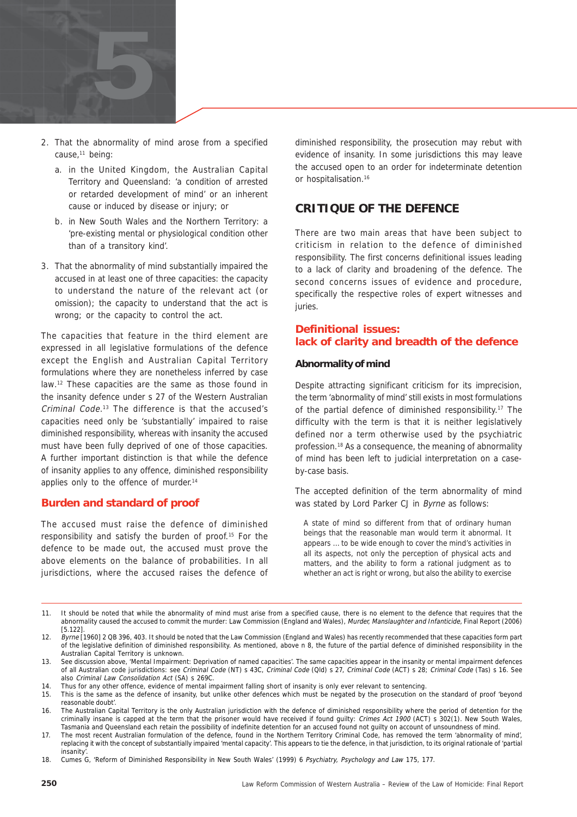

- 2. That the abnormality of mind arose from a specified cause,<sup>11</sup> being:
	- a. in the United Kingdom, the Australian Capital Territory and Queensland: 'a condition of arrested or retarded development of mind' or an inherent cause or induced by disease or injury; or
	- b. in New South Wales and the Northern Territory: a 'pre-existing mental or physiological condition other than of a transitory kind'.
- 3. That the abnormality of mind substantially impaired the accused in at least one of three capacities: the capacity to understand the nature of the relevant act (or omission); the capacity to understand that the act is wrong; or the capacity to control the act.

The capacities that feature in the third element are expressed in all legislative formulations of the defence except the English and Australian Capital Territory formulations where they are nonetheless inferred by case law.12 These capacities are the same as those found in the insanity defence under s 27 of the Western Australian Criminal Code. 13 The difference is that the accused's capacities need only be 'substantially' impaired to raise diminished responsibility, whereas with insanity the accused must have been fully deprived of one of those capacities. A further important distinction is that while the defence of insanity applies to any offence, diminished responsibility applies only to the offence of murder.<sup>14</sup>

#### **Burden and standard of proof**

The accused must raise the defence of diminished responsibility and satisfy the burden of proof.15 For the defence to be made out, the accused must prove the above elements on the balance of probabilities. In all jurisdictions, where the accused raises the defence of diminished responsibility, the prosecution may rebut with evidence of insanity. In some jurisdictions this may leave the accused open to an order for indeterminate detention or hospitalisation.<sup>16</sup>

#### **CRITIQUE OF THE DEFENCE**

There are two main areas that have been subject to criticism in relation to the defence of diminished responsibility. The first concerns definitional issues leading to a lack of clarity and broadening of the defence. The second concerns issues of evidence and procedure, specifically the respective roles of expert witnesses and juries.

#### **Definitional issues: lack of clarity and breadth of the defence**

#### **Abnormality of mind**

Despite attracting significant criticism for its imprecision, the term 'abnormality of mind' still exists in most formulations of the partial defence of diminished responsibility.<sup>17</sup> The difficulty with the term is that it is neither legislatively defined nor a term otherwise used by the psychiatric profession.<sup>18</sup> As a consequence, the meaning of abnormality of mind has been left to judicial interpretation on a caseby-case basis.

The accepted definition of the term abnormality of mind was stated by Lord Parker CJ in Byrne as follows:

A state of mind so different from that of ordinary human beings that the reasonable man would term it abnormal. It appears … to be wide enough to cover the mind's activities in all its aspects, not only the perception of physical acts and matters, and the ability to form a rational judgment as to whether an act is right or wrong, but also the ability to exercise

11. It should be noted that while the abnormality of mind must arise from a specified cause, there is no element to the defence that requires that the abnormality caused the accused to commit the murder: Law Commission (England and Wales), Murder, Manslaughter and Infanticide, Final Report (2006) [5.122].

<sup>12.</sup> Byrne [1960] 2 QB 396, 403. It should be noted that the Law Commission (England and Wales) has recently recommended that these capacities form part of the legislative definition of diminished responsibility. As mentioned, above n 8, the future of the partial defence of diminished responsibility in the Australian Capital Territory is unknown.

<sup>13.</sup> See discussion above, 'Mental Impairment: Deprivation of named capacities'. The same capacities appear in the insanity or mental impairment defences of all Australian code jurisdictions: see Criminal Code (NT) s 43C, Criminal Code (Qld) s 27, Criminal Code (ACT) s 28; Criminal Code (Tas) s 16. See also Criminal Law Consolidation Act (SA) s 269C.

<sup>14.</sup> Thus for any other offence, evidence of mental impairment falling short of insanity is only ever relevant to sentencing.

<sup>15.</sup> This is the same as the defence of insanity, but unlike other defences which must be negated by the prosecution on the standard of proof 'beyond reasonable doubt'.

<sup>16.</sup> The Australian Capital Territory is the only Australian jurisdiction with the defence of diminished responsibility where the period of detention for the criminally insane is capped at the term that the prisoner would have received if found guilty: Crimes Act 1900 (ACT) s 302(1). New South Wales, Tasmania and Queensland each retain the possibility of indefinite detention for an accused found not guilty on account of unsoundness of mind.

<sup>17.</sup> The most recent Australian formulation of the defence, found in the Northern Territory Criminal Code, has removed the term 'abnormality of mind', replacing it with the concept of substantially impaired 'mental capacity'. This appears to tie the defence, in that jurisdiction, to its original rationale of 'partial insanity'.

<sup>18.</sup> Cumes G, 'Reform of Diminished Responsibility in New South Wales' (1999) 6 Psychiatry, Psychology and Law 175, 177.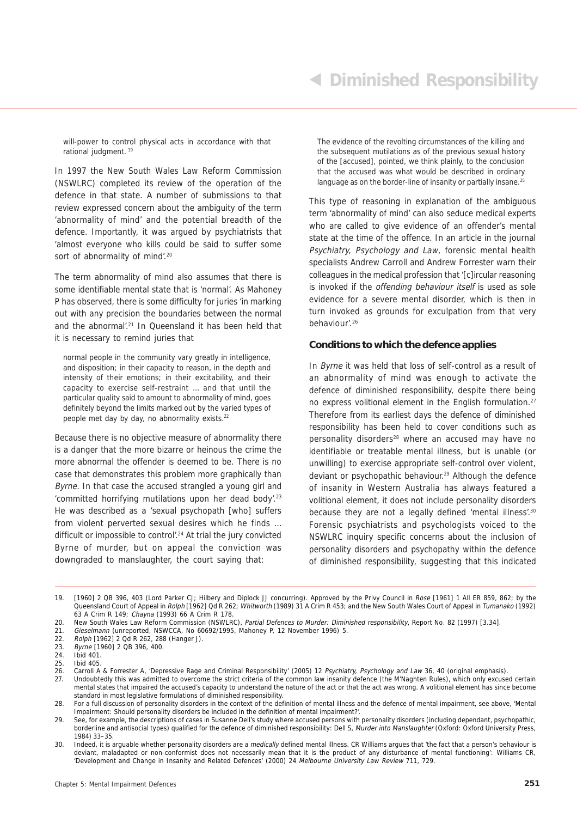will-power to control physical acts in accordance with that rational judgment. 19

In 1997 the New South Wales Law Reform Commission (NSWLRC) completed its review of the operation of the defence in that state. A number of submissions to that review expressed concern about the ambiguity of the term 'abnormality of mind' and the potential breadth of the defence. Importantly, it was argued by psychiatrists that 'almost everyone who kills could be said to suffer some sort of abnormality of mind'.<sup>20</sup>

The term abnormality of mind also assumes that there is some identifiable mental state that is 'normal'. As Mahoney P has observed, there is some difficulty for juries 'in marking out with any precision the boundaries between the normal and the abnormal'.21 In Queensland it has been held that it is necessary to remind juries that

normal people in the community vary greatly in intelligence, and disposition; in their capacity to reason, in the depth and intensity of their emotions; in their excitability, and their capacity to exercise self-restraint … and that until the particular quality said to amount to abnormality of mind, goes definitely beyond the limits marked out by the varied types of people met day by day, no abnormality exists.<sup>22</sup>

Because there is no objective measure of abnormality there is a danger that the more bizarre or heinous the crime the more abnormal the offender is deemed to be. There is no case that demonstrates this problem more graphically than Byrne. In that case the accused strangled a young girl and 'committed horrifying mutilations upon her dead body'.<sup>23</sup> He was described as a 'sexual psychopath [who] suffers from violent perverted sexual desires which he finds … difficult or impossible to control'.<sup>24</sup> At trial the jury convicted Byrne of murder, but on appeal the conviction was downgraded to manslaughter, the court saying that:

The evidence of the revolting circumstances of the killing and the subsequent mutilations as of the previous sexual history of the [accused], pointed, we think plainly, to the conclusion that the accused was what would be described in ordinary language as on the border-line of insanity or partially insane.<sup>25</sup>

This type of reasoning in explanation of the ambiguous term 'abnormality of mind' can also seduce medical experts who are called to give evidence of an offender's mental state at the time of the offence. In an article in the journal Psychiatry, Psychology and Law, forensic mental health specialists Andrew Carroll and Andrew Forrester warn their colleagues in the medical profession that '[c]ircular reasoning is invoked if the offending behaviour itself is used as sole evidence for a severe mental disorder, which is then in turn invoked as grounds for exculpation from that very behaviour'.26

#### **Conditions to which the defence applies**

In Byrne it was held that loss of self-control as a result of an abnormality of mind was enough to activate the defence of diminished responsibility, despite there being no express volitional element in the English formulation.<sup>27</sup> Therefore from its earliest days the defence of diminished responsibility has been held to cover conditions such as personality disorders<sup>28</sup> where an accused may have no identifiable or treatable mental illness, but is unable (or unwilling) to exercise appropriate self-control over violent, deviant or psychopathic behaviour.<sup>29</sup> Although the defence of insanity in Western Australia has always featured a volitional element, it does not include personality disorders because they are not a legally defined 'mental illness'.<sup>30</sup> Forensic psychiatrists and psychologists voiced to the NSWLRC inquiry specific concerns about the inclusion of personality disorders and psychopathy within the defence of diminished responsibility, suggesting that this indicated

<sup>19. [1960] 2</sup> QB 396, 403 (Lord Parker CJ; Hilbery and Diplock JJ concurring). Approved by the Privy Council in Rose [1961] 1 All ER 859, 862; by the Queensland Court of Appeal in Rolph [1962] Qd R 262; Whitworth (1989) 31 A Crim R 453; and the New South Wales Court of Appeal in Tumanako (1992) 63 A Crim R 149; Chayna (1993) 66 A Crim R 178.

<sup>20.</sup> New South Wales Law Reform Commission (NSWLRC), Partial Defences to Murder: Diminished responsibility, Report No. 82 (1997) [3.34].<br>21 Gieselmann (unreported NSWCCA No. 60692/1995 Mahoney P. 12 November 1996) 5

Gieselmann (unreported, NSWCCA, No 60692/1995, Mahoney P, 12 November 1996) 5.

<sup>22.</sup> Rolph [1962] 2 Qd R 262, 288 (Hanger J).<br>23. Byrne [1960] 2 OB 396, 400

<sup>23.</sup> Byrne [1960] 2 QB 396, 400.

<sup>24.</sup> Ibid 401.

<sup>25.</sup> Ibid 405.

<sup>26.</sup> Carroll A & Forrester A, 'Depressive Rage and Criminal Responsibility' (2005) 12 Psychiatry, Psychology and Law 36, 40 (original emphasis).

<sup>27.</sup> Undoubtedly this was admitted to overcome the strict criteria of the common law insanity defence (the M'Naghten Rules), which only excused certain mental states that impaired the accused's capacity to understand the nature of the act or that the act was wrong. A volitional element has since become standard in most legislative formulations of diminished responsibility.

<sup>28.</sup> For a full discussion of personality disorders in the context of the definition of mental illness and the defence of mental impairment, see above, 'Mental Impairment: Should personality disorders be included in the definition of mental impairment?'.

<sup>29.</sup> See, for example, the descriptions of cases in Susanne Dell's study where accused persons with personality disorders (including dependant, psychopathic, borderline and antisocial types) qualified for the defence of diminished responsibility: Dell S, Murder into Manslaughter (Oxford: Oxford University Press, 1984) 33–35.

<sup>30.</sup> Indeed, it is arguable whether personality disorders are a medically defined mental illness. CR Williams argues that 'the fact that a person's behaviour is deviant, maladapted or non-conformist does not necessarily mean that it is the product of any disturbance of mental functioning': Williams CR, 'Development and Change in Insanity and Related Defences' (2000) 24 Melbourne University Law Review 711, 729.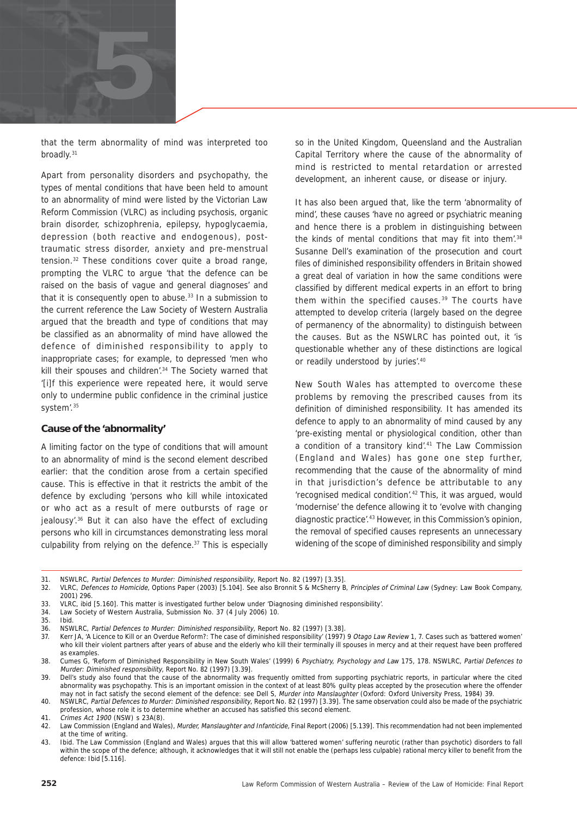

that the term abnormality of mind was interpreted too broadly.<sup>31</sup>

Apart from personality disorders and psychopathy, the types of mental conditions that have been held to amount to an abnormality of mind were listed by the Victorian Law Reform Commission (VLRC) as including psychosis, organic brain disorder, schizophrenia, epilepsy, hypoglycaemia, depression (both reactive and endogenous), posttraumatic stress disorder, anxiety and pre-menstrual tension.32 These conditions cover quite a broad range, prompting the VLRC to argue 'that the defence can be raised on the basis of vague and general diagnoses' and that it is consequently open to abuse.<sup>33</sup> In a submission to the current reference the Law Society of Western Australia argued that the breadth and type of conditions that may be classified as an abnormality of mind have allowed the defence of diminished responsibility to apply to inappropriate cases; for example, to depressed 'men who kill their spouses and children'.<sup>34</sup> The Society warned that '[i]f this experience were repeated here, it would serve only to undermine public confidence in the criminal justice system'.35

#### **Cause of the 'abnormality'**

A limiting factor on the type of conditions that will amount to an abnormality of mind is the second element described earlier: that the condition arose from a certain specified cause. This is effective in that it restricts the ambit of the defence by excluding 'persons who kill while intoxicated or who act as a result of mere outbursts of rage or jealousy'.36 But it can also have the effect of excluding persons who kill in circumstances demonstrating less moral culpability from relying on the defence.<sup>37</sup> This is especially

so in the United Kingdom, Queensland and the Australian Capital Territory where the cause of the abnormality of mind is restricted to mental retardation or arrested development, an inherent cause, or disease or injury.

It has also been argued that, like the term 'abnormality of mind', these causes 'have no agreed or psychiatric meaning and hence there is a problem in distinguishing between the kinds of mental conditions that may fit into them<sup>'.38</sup> Susanne Dell's examination of the prosecution and court files of diminished responsibility offenders in Britain showed a great deal of variation in how the same conditions were classified by different medical experts in an effort to bring them within the specified causes.<sup>39</sup> The courts have attempted to develop criteria (largely based on the degree of permanency of the abnormality) to distinguish between the causes. But as the NSWLRC has pointed out, it 'is questionable whether any of these distinctions are logical or readily understood by juries'.40

New South Wales has attempted to overcome these problems by removing the prescribed causes from its definition of diminished responsibility. It has amended its defence to apply to an abnormality of mind caused by any 'pre-existing mental or physiological condition, other than a condition of a transitory kind'.<sup>41</sup> The Law Commission (England and Wales) has gone one step further, recommending that the cause of the abnormality of mind in that jurisdiction's defence be attributable to any 'recognised medical condition'.42 This, it was argued, would 'modernise' the defence allowing it to 'evolve with changing diagnostic practice<sup>', 43</sup> However, in this Commission's opinion, the removal of specified causes represents an unnecessary widening of the scope of diminished responsibility and simply

34. Law Society of Western Australia, Submission No. 37 (4 July 2006) 10.

<sup>31.</sup> NSWLRC, Partial Defences to Murder: Diminished responsibility, Report No. 82 (1997) [3.35].<br>32. VLRC. Defences to Homicide. Options Paper (2003) [5.104]. See also Bronnit S & McSherry B

<sup>32.</sup> VLRC, Defences to Homicide, Options Paper (2003) [5.104]. See also Bronnit S & McSherry B, Principles of Criminal Law (Sydney: Law Book Company, 2001) 296.

<sup>33.</sup> VLRC, ibid [5.160]. This matter is investigated further below under 'Diagnosing diminished responsibility'.

Ibid.

<sup>36.</sup> NSWLRC, Partial Defences to Murder: Diminished responsibility, Report No. 82 (1997) [3.38].<br>37 Kerr JA 'A Licence to Kill or an Overdue Reform?: The case of diminished responsibility' (1997)

Kerr JA, 'A Licence to Kill or an Overdue Reform?: The case of diminished responsibility' (1997) 9 Otago Law Review 1, 7. Cases such as 'battered women' who kill their violent partners after years of abuse and the elderly who kill their terminally ill spouses in mercy and at their request have been proffered as examples.

<sup>38.</sup> Cumes G, 'Reform of Diminished Responsibility in New South Wales' (1999) 6 Psychiatry, Psychology and Law 175, 178. NSWLRC, Partial Defences to Murder: Diminished responsibility, Report No. 82 (1997) [3.39].

<sup>39.</sup> Dell's study also found that the cause of the abnormality was frequently omitted from supporting psychiatric reports, in particular where the cited abnormality was psychopathy. This is an important omission in the context of at least 80% guilty pleas accepted by the prosecution where the offender may not in fact satisfy the second element of the defence: see Dell S, Murder into Manslaughter (Oxford: Oxford University Press, 1984) 39.

<sup>40.</sup> NSWLRC, Partial Defences to Murder: Diminished responsibility, Report No. 82 (1997) [3.39]. The same observation could also be made of the psychiatric profession, whose role it is to determine whether an accused has satisfied this second element.

<sup>41.</sup> Crimes Act 1900 (NSW) s 23A(8).

<sup>42.</sup> Law Commission (England and Wales), Murder, Manslaughter and Infanticide, Final Report (2006) [5.139]. This recommendation had not been implemented at the time of writing.

<sup>43.</sup> Ibid. The Law Commission (England and Wales) argues that this will allow 'battered women' suffering neurotic (rather than psychotic) disorders to fall within the scope of the defence; although, it acknowledges that it will still not enable the (perhaps less culpable) rational mercy killer to benefit from the defence: Ibid [5.116].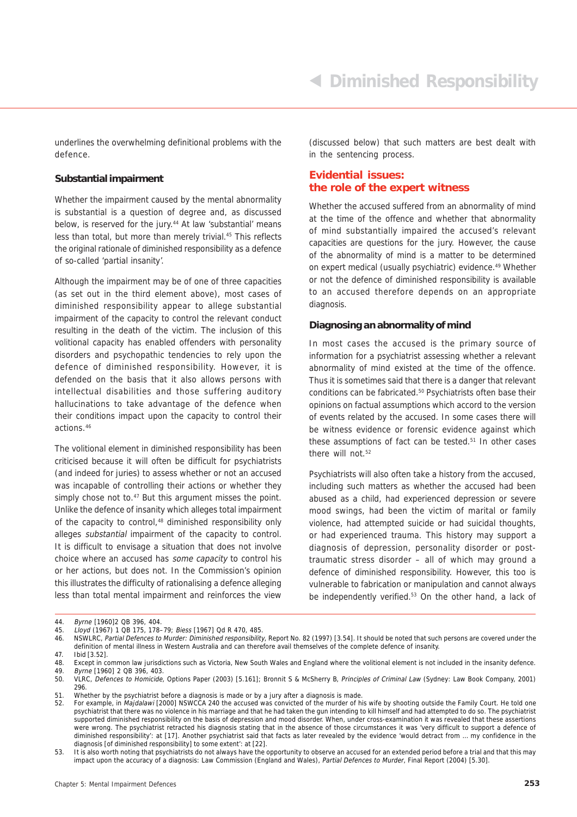underlines the overwhelming definitional problems with the defence.

#### **Substantial impairment**

Whether the impairment caused by the mental abnormality is substantial is a question of degree and, as discussed below, is reserved for the jury.<sup>44</sup> At law 'substantial' means less than total, but more than merely trivial.45 This reflects the original rationale of diminished responsibility as a defence of so-called 'partial insanity'.

Although the impairment may be of one of three capacities (as set out in the third element above), most cases of diminished responsibility appear to allege substantial impairment of the capacity to control the relevant conduct resulting in the death of the victim. The inclusion of this volitional capacity has enabled offenders with personality disorders and psychopathic tendencies to rely upon the defence of diminished responsibility. However, it is defended on the basis that it also allows persons with intellectual disabilities and those suffering auditory hallucinations to take advantage of the defence when their conditions impact upon the capacity to control their actions.46

The volitional element in diminished responsibility has been criticised because it will often be difficult for psychiatrists (and indeed for juries) to assess whether or not an accused was incapable of controlling their actions or whether they simply chose not to.<sup>47</sup> But this argument misses the point. Unlike the defence of insanity which alleges total impairment of the capacity to control,<sup>48</sup> diminished responsibility only alleges substantial impairment of the capacity to control. It is difficult to envisage a situation that does not involve choice where an accused has some capacity to control his or her actions, but does not. In the Commission's opinion this illustrates the difficulty of rationalising a defence alleging less than total mental impairment and reinforces the view

(discussed below) that such matters are best dealt with in the sentencing process.

#### **Evidential issues: the role of the expert witness**

Whether the accused suffered from an abnormality of mind at the time of the offence and whether that abnormality of mind substantially impaired the accused's relevant capacities are questions for the jury. However, the cause of the abnormality of mind is a matter to be determined on expert medical (usually psychiatric) evidence.<sup>49</sup> Whether or not the defence of diminished responsibility is available to an accused therefore depends on an appropriate diagnosis.

#### **Diagnosing an abnormality of mind**

In most cases the accused is the primary source of information for a psychiatrist assessing whether a relevant abnormality of mind existed at the time of the offence. Thus it is sometimes said that there is a danger that relevant conditions can be fabricated.50 Psychiatrists often base their opinions on factual assumptions which accord to the version of events related by the accused. In some cases there will be witness evidence or forensic evidence against which these assumptions of fact can be tested.<sup>51</sup> In other cases there will not.<sup>52</sup>

Psychiatrists will also often take a history from the accused, including such matters as whether the accused had been abused as a child, had experienced depression or severe mood swings, had been the victim of marital or family violence, had attempted suicide or had suicidal thoughts, or had experienced trauma. This history may support a diagnosis of depression, personality disorder or posttraumatic stress disorder – all of which may ground a defence of diminished responsibility. However, this too is vulnerable to fabrication or manipulation and cannot always be independently verified.<sup>53</sup> On the other hand, a lack of

<sup>44.</sup> Byrne [1960] 2 QB 396, 404.

<sup>45.</sup> Lloyd (1967) 1 QB 175, 178–79; Biess [1967] Qd R 470, 485.

<sup>46.</sup> NSWLRC, Partial Defences to Murder: Diminished responsibility, Report No. 82 (1997) [3.54]. It should be noted that such persons are covered under the definition of mental illness in Western Australia and can therefore avail themselves of the complete defence of insanity. 47. Ibid [3.52].

<sup>48.</sup> Except in common law jurisdictions such as Victoria, New South Wales and England where the volitional element is not included in the insanity defence.

<sup>49.</sup> Byrne [1960] 2 QB 396, 403.

<sup>50.</sup> VLRC, Defences to Homicide, Options Paper (2003) [5.161]; Bronnit S & McSherry B, Principles of Criminal Law (Sydney: Law Book Company, 2001) 296.

<sup>51.</sup> Whether by the psychiatrist before a diagnosis is made or by a jury after a diagnosis is made.

<sup>52.</sup> For example, in Majdalawi [2000] NSWCCA 240 the accused was convicted of the murder of his wife by shooting outside the Family Court. He told one psychiatrist that there was no violence in his marriage and that he had taken the gun intending to kill himself and had attempted to do so. The psychiatrist supported diminished responsibility on the basis of depression and mood disorder. When, under cross-examination it was revealed that these assertions were wrong. The psychiatrist retracted his diagnosis stating that in the absence of those circumstances it was 'very difficult to support a defence of diminished responsibility': at [17]. Another psychiatrist said that facts as later revealed by the evidence 'would detract from … my confidence in the diagnosis [of diminished responsibility] to some extent': at [22].

<sup>53.</sup> It is also worth noting that psychiatrists do not always have the opportunity to observe an accused for an extended period before a trial and that this may impact upon the accuracy of a diagnosis: Law Commission (England and Wales), Partial Defences to Murder, Final Report (2004) [5.30].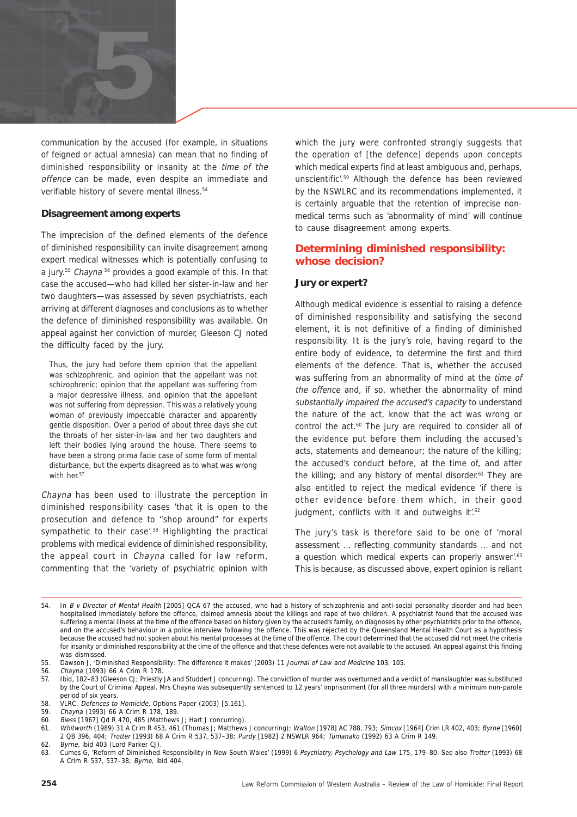

communication by the accused (for example, in situations of feigned or actual amnesia) can mean that no finding of diminished responsibility or insanity at the time of the offence can be made, even despite an immediate and verifiable history of severe mental illness.<sup>54</sup>

#### **Disagreement among experts**

The imprecision of the defined elements of the defence of diminished responsibility can invite disagreement among expert medical witnesses which is potentially confusing to a jury.<sup>55</sup> Chayna<sup>56</sup> provides a good example of this. In that case the accused—who had killed her sister-in-law and her two daughters—was assessed by seven psychiatrists, each arriving at different diagnoses and conclusions as to whether the defence of diminished responsibility was available. On appeal against her conviction of murder, Gleeson CJ noted the difficulty faced by the jury.

Thus, the jury had before them opinion that the appellant was schizophrenic, and opinion that the appellant was not schizophrenic; opinion that the appellant was suffering from a major depressive illness, and opinion that the appellant was not suffering from depression. This was a relatively young woman of previously impeccable character and apparently gentle disposition. Over a period of about three days she cut the throats of her sister-in-law and her two daughters and left their bodies lying around the house. There seems to have been a strong prima facie case of some form of mental disturbance, but the experts disagreed as to what was wrong with her.<sup>57</sup>

Chayna has been used to illustrate the perception in diminished responsibility cases 'that it is open to the prosecution and defence to "shop around" for experts sympathetic to their case'.58 Highlighting the practical problems with medical evidence of diminished responsibility, the appeal court in Chayna called for law reform, commenting that the 'variety of psychiatric opinion with which the jury were confronted strongly suggests that the operation of [the defence] depends upon concepts which medical experts find at least ambiguous and, perhaps, unscientific'.59 Although the defence has been reviewed by the NSWLRC and its recommendations implemented, it is certainly arguable that the retention of imprecise nonmedical terms such as 'abnormality of mind' will continue to cause disagreement among experts.

#### **Determining diminished responsibility: whose decision?**

#### **Jury or expert?**

Although medical evidence is essential to raising a defence of diminished responsibility and satisfying the second element, it is not definitive of a finding of diminished responsibility. It is the jury's role, having regard to the entire body of evidence, to determine the first and third elements of the defence. That is, whether the accused was suffering from an abnormality of mind at the time of the offence and, if so, whether the abnormality of mind substantially impaired the accused's capacity to understand the nature of the act, know that the act was wrong or control the act.<sup>60</sup> The jury are required to consider all of the evidence put before them including the accused's acts, statements and demeanour; the nature of the killing; the accused's conduct before, at the time of, and after the killing; and any history of mental disorder.<sup>61</sup> They are also entitled to reject the medical evidence 'if there is other evidence before them which, in their good judgment, conflicts with it and outweighs it'.<sup>62</sup>

The jury's task is therefore said to be one of 'moral assessment … reflecting community standards … and not a question which medical experts can properly answer'.<sup>63</sup> This is because, as discussed above, expert opinion is reliant

60. Biess [1967] Qd R 470, 485 (Matthews J; Hart J concurring).

<sup>54.</sup> In B v Director of Mental Health [2005] QCA 67 the accused, who had a history of schizophrenia and anti-social personality disorder and had been hospitalised immediately before the offence, claimed amnesia about the killings and rape of two children. A psychiatrist found that the accused was suffering a mental illness at the time of the offence based on history given by the accused's family, on diagnoses by other psychiatrists prior to the offence, and on the accused's behaviour in a police interview following the offence. This was rejected by the Queensland Mental Health Court as a hypothesis because the accused had not spoken about his mental processes at the time of the offence. The court determined that the accused did not meet the criteria for insanity or diminished responsibility at the time of the offence and that these defences were not available to the accused. An appeal against this finding was dismissed.

<sup>55.</sup> Dawson J, 'Diminished Responsibility: The difference it makes' (2003) 11 Journal of Law and Medicine 103, 105.

<sup>56.</sup> Chayna (1993) 66 A Crim R 178.

<sup>57.</sup> Ibid, 182–83 (Gleeson CJ; Priestly JA and Studdert J concurring). The conviction of murder was overturned and a verdict of manslaughter was substituted by the Court of Criminal Appeal. Mrs Chayna was subsequently sentenced to 12 years' imprisonment (for all three murders) with a minimum non-parole period of six years.

<sup>58.</sup> VLRC, Defences to Homicide, Options Paper (2003) [5.161].

<sup>59.</sup> Chayna (1993) 66 A Crim R 178, 189.

<sup>61.</sup> Whitworth (1989) 31 A Crim R 453, 461 (Thomas J; Matthews J concurring); Walton [1978] AC 788, 793; Simcox [1964] Crim LR 402, 403; Byrne [1960] 2 QB 396, 404; Trotter (1993) 68 A Crim R 537, 537–38; Purdy [1982] 2 NSWLR 964; Tumanako (1992) 63 A Crim R 149. 62. Byrne, ibid 403 (Lord Parker CJ).

<sup>63.</sup> Cumes G, 'Reform of Diminished Responsibility in New South Wales' (1999) 6 Psychiatry, Psychology and Law 175, 179–80. See also Trotter (1993) 68 A Crim R 537, 537–38; Byrne, ibid 404.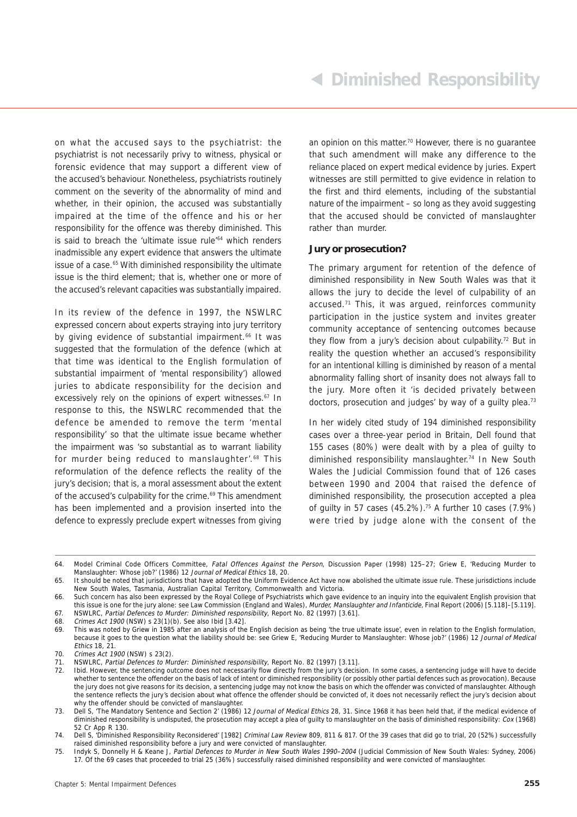on what the accused says to the psychiatrist: the psychiatrist is not necessarily privy to witness, physical or forensic evidence that may support a different view of the accused's behaviour. Nonetheless, psychiatrists routinely comment on the severity of the abnormality of mind and whether, in their opinion, the accused was substantially impaired at the time of the offence and his or her responsibility for the offence was thereby diminished. This is said to breach the 'ultimate issue rule<sup>'64</sup> which renders inadmissible any expert evidence that answers the ultimate issue of a case.<sup>65</sup> With diminished responsibility the ultimate issue is the third element; that is, whether one or more of the accused's relevant capacities was substantially impaired.

In its review of the defence in 1997, the NSWLRC expressed concern about experts straying into jury territory by giving evidence of substantial impairment.<sup>66</sup> It was suggested that the formulation of the defence (which at that time was identical to the English formulation of substantial impairment of 'mental responsibility') allowed juries to abdicate responsibility for the decision and excessively rely on the opinions of expert witnesses.<sup>67</sup> In response to this, the NSWLRC recommended that the defence be amended to remove the term 'mental responsibility' so that the ultimate issue became whether the impairment was 'so substantial as to warrant liability for murder being reduced to manslaughter'.<sup>68</sup> This reformulation of the defence reflects the reality of the jury's decision; that is, a moral assessment about the extent of the accused's culpability for the crime.<sup>69</sup> This amendment has been implemented and a provision inserted into the defence to expressly preclude expert witnesses from giving an opinion on this matter.<sup>70</sup> However, there is no quarantee that such amendment will make any difference to the reliance placed on expert medical evidence by juries. Expert witnesses are still permitted to give evidence in relation to the first and third elements, including of the substantial nature of the impairment – so long as they avoid suggesting that the accused should be convicted of manslaughter rather than murder.

#### **Jury or prosecution?**

The primary argument for retention of the defence of diminished responsibility in New South Wales was that it allows the jury to decide the level of culpability of an accused.71 This, it was argued, reinforces community participation in the justice system and invites greater community acceptance of sentencing outcomes because they flow from a jury's decision about culpability.<sup>72</sup> But in reality the question whether an accused's responsibility for an intentional killing is diminished by reason of a mental abnormality falling short of insanity does not always fall to the jury. More often it 'is decided privately between doctors, prosecution and judges' by way of a guilty plea.<sup>73</sup>

In her widely cited study of 194 diminished responsibility cases over a three-year period in Britain, Dell found that 155 cases (80%) were dealt with by a plea of guilty to diminished responsibility manslaughter.<sup>74</sup> In New South Wales the Judicial Commission found that of 126 cases between 1990 and 2004 that raised the defence of diminished responsibility, the prosecution accepted a plea of guilty in 57 cases (45.2%).75 A further 10 cases (7.9%) were tried by judge alone with the consent of the

<sup>64.</sup> Model Criminal Code Officers Committee, Fatal Offences Against the Person, Discussion Paper (1998) 125–27; Griew E, 'Reducing Murder to Manslaughter: Whose job?' (1986) 12 Journal of Medical Ethics 18, 20.

<sup>65.</sup> It should be noted that jurisdictions that have adopted the Uniform Evidence Act have now abolished the ultimate issue rule. These jurisdictions include New South Wales, Tasmania, Australian Capital Territory, Commonwealth and Victoria.

<sup>66.</sup> Such concern has also been expressed by the Royal College of Psychiatrists which gave evidence to an inquiry into the equivalent English provision that this issue is one for the jury alone: see Law Commission (England and Wales), Murder, Manslaughter and Infanticide, Final Report (2006) [5.118]–[5.119]. 67. NSWLRC, Partial Defences to Murder: Diminished responsibility, Report No. 82 (1997) [3.61].

<sup>68.</sup> Crimes Act 1900 (NSW) s 23(1)(b). See also Ibid [3.42].

<sup>69.</sup> This was noted by Griew in 1985 after an analysis of the English decision as being 'the true ultimate issue', even in relation to the English formulation, because it goes to the question what the liability should be: see Griew E, 'Reducing Murder to Manslaughter: Whose job?' (1986) 12 Journal of Medical Ethics 18, 21.

<sup>70.</sup> Crimes Act 1900 (NSW) s 23(2).

<sup>71.</sup> NSWLRC, Partial Defences to Murder: Diminished responsibility, Report No. 82 (1997) [3.11].

<sup>72.</sup> Ibid. However, the sentencing outcome does not necessarily flow directly from the jury's decision. In some cases, a sentencing judge will have to decide whether to sentence the offender on the basis of lack of intent or diminished responsibility (or possibly other partial defences such as provocation). Because the jury does not give reasons for its decision, a sentencing judge may not know the basis on which the offender was convicted of manslaughter. Although the sentence reflects the jury's decision about what offence the offender should be convicted of, it does not necessarily reflect the jury's decision about why the offender should be convicted of manslaughter.

<sup>73.</sup> Dell S, 'The Mandatory Sentence and Section 2' (1986) 12 Journal of Medical Ethics 28, 31. Since 1968 it has been held that, if the medical evidence of diminished responsibility is undisputed, the prosecution may accept a plea of guilty to manslaughter on the basis of diminished responsibility: Cox (1968) 52 Cr App R 130.

<sup>74.</sup> Dell S, 'Diminished Responsibility Reconsidered' [1982] Criminal Law Review 809, 811 & 817. Of the 39 cases that did go to trial, 20 (52%) successfully raised diminished responsibility before a jury and were convicted of manslaughter.

<sup>75.</sup> Indyk S, Donnelly H & Keane J, Partial Defences to Murder in New South Wales 1990–2004 (Judicial Commission of New South Wales: Sydney, 2006) 17. Of the 69 cases that proceeded to trial 25 (36%) successfully raised diminished responsibility and were convicted of manslaughter.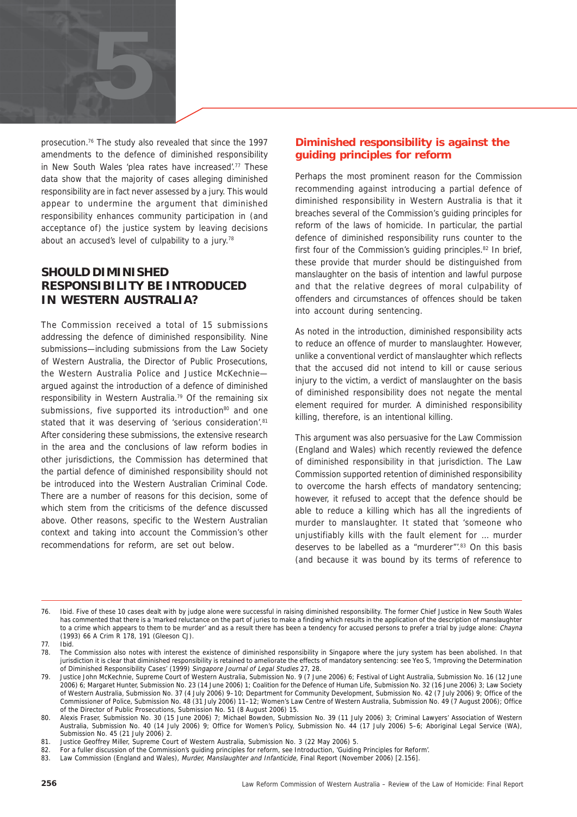

prosecution.76 The study also revealed that since the 1997 amendments to the defence of diminished responsibility in New South Wales 'plea rates have increased'.77 These data show that the majority of cases alleging diminished responsibility are in fact never assessed by a jury. This would appear to undermine the argument that diminished responsibility enhances community participation in (and acceptance of) the justice system by leaving decisions about an accused's level of culpability to a jury.<sup>78</sup>

#### **SHOULD DIMINISHED RESPONSIBILITY BE INTRODUCED IN WESTERN AUSTRALIA?**

The Commission received a total of 15 submissions addressing the defence of diminished responsibility. Nine submissions—including submissions from the Law Society of Western Australia, the Director of Public Prosecutions, the Western Australia Police and Justice McKechnie argued against the introduction of a defence of diminished responsibility in Western Australia.79 Of the remaining six submissions, five supported its introduction<sup>80</sup> and one stated that it was deserving of 'serious consideration'.<sup>81</sup> After considering these submissions, the extensive research in the area and the conclusions of law reform bodies in other jurisdictions, the Commission has determined that the partial defence of diminished responsibility should not be introduced into the Western Australian Criminal Code. There are a number of reasons for this decision, some of which stem from the criticisms of the defence discussed above. Other reasons, specific to the Western Australian context and taking into account the Commission's other recommendations for reform, are set out below.

#### **Diminished responsibility is against the guiding principles for reform**

Perhaps the most prominent reason for the Commission recommending against introducing a partial defence of diminished responsibility in Western Australia is that it breaches several of the Commission's guiding principles for reform of the laws of homicide. In particular, the partial defence of diminished responsibility runs counter to the first four of the Commission's guiding principles.<sup>82</sup> In brief, these provide that murder should be distinguished from manslaughter on the basis of intention and lawful purpose and that the relative degrees of moral culpability of offenders and circumstances of offences should be taken into account during sentencing.

As noted in the introduction, diminished responsibility acts to reduce an offence of murder to manslaughter. However, unlike a conventional verdict of manslaughter which reflects that the accused did not intend to kill or cause serious injury to the victim, a verdict of manslaughter on the basis of diminished responsibility does not negate the mental element required for murder. A diminished responsibility killing, therefore, is an intentional killing.

This argument was also persuasive for the Law Commission (England and Wales) which recently reviewed the defence of diminished responsibility in that jurisdiction. The Law Commission supported retention of diminished responsibility to overcome the harsh effects of mandatory sentencing; however, it refused to accept that the defence should be able to reduce a killing which has all the ingredients of murder to manslaughter. It stated that 'someone who unjustifiably kills with the fault element for … murder deserves to be labelled as a "murderer".<sup>83</sup> On this basis (and because it was bound by its terms of reference to

<sup>76.</sup> Ibid. Five of these 10 cases dealt with by judge alone were successful in raising diminished responsibility. The former Chief Justice in New South Wales has commented that there is a 'marked reluctance on the part of juries to make a finding which results in the application of the description of manslaughter to a crime which appears to them to be murder' and as a result there has been a tendency for accused persons to prefer a trial by judge alone: Chayna (1993) 66 A Crim R 178, 191 (Gleeson CJ).

<sup>77.</sup> Ibid.

<sup>78.</sup> The Commission also notes with interest the existence of diminished responsibility in Singapore where the jury system has been abolished. In that jurisdiction it is clear that diminished responsibility is retained to ameliorate the effects of mandatory sentencing: see Yeo S, 'Improving the Determination of Diminished Responsibility Cases' (1999) Singapore Journal of Legal Studies 27, 28.

<sup>79.</sup> Justice John McKechnie, Supreme Court of Western Australia, Submission No. 9 (7 June 2006) 6; Festival of Light Australia, Submission No. 16 (12 June 2006) 6; Margaret Hunter, Submission No. 23 (14 June 2006) 1; Coalition for the Defence of Human Life, Submission No. 32 (16 June 2006) 3; Law Society of Western Australia, Submission No. 37 (4 July 2006) 9–10; Department for Community Development, Submission No. 42 (7 July 2006) 9; Office of the Commissioner of Police, Submission No. 48 (31 July 2006) 11–12; Women's Law Centre of Western Australia, Submission No. 49 (7 August 2006); Office of the Director of Public Prosecutions, Submission No. 51 (8 August 2006) 15.

<sup>80.</sup> Alexis Fraser, Submission No. 30 (15 June 2006) 7; Michael Bowden, Submission No. 39 (11 July 2006) 3; Criminal Lawyers' Association of Western Australia, Submission No. 40 (14 July 2006) 9; Office for Women's Policy, Submission No. 44 (17 July 2006) 5–6; Aboriginal Legal Service (WA), Submission No. 45 (21 July 2006) 2.

<sup>81.</sup> Justice Geoffrey Miller, Supreme Court of Western Australia, Submission No. 3 (22 May 2006) 5.

<sup>82.</sup> For a fuller discussion of the Commission's guiding principles for reform, see Introduction, 'Guiding Principles for Reform'.

<sup>83.</sup> Law Commission (England and Wales), Murder, Manslaughter and Infanticide, Final Report (November 2006) [2.156].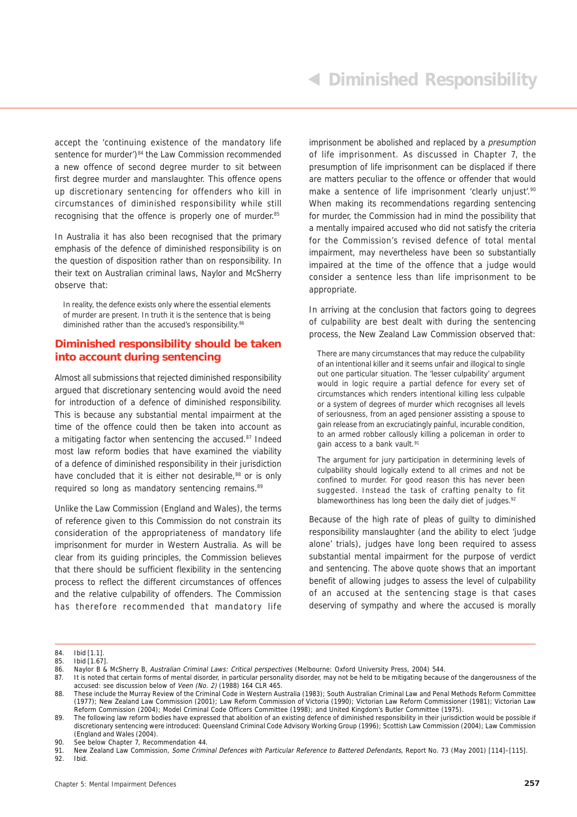accept the 'continuing existence of the mandatory life sentence for murder')<sup>84</sup> the Law Commission recommended a new offence of second degree murder to sit between first degree murder and manslaughter. This offence opens up discretionary sentencing for offenders who kill in circumstances of diminished responsibility while still recognising that the offence is properly one of murder.<sup>85</sup>

In Australia it has also been recognised that the primary emphasis of the defence of diminished responsibility is on the question of disposition rather than on responsibility. In their text on Australian criminal laws, Naylor and McSherry observe that:

In reality, the defence exists only where the essential elements of murder are present. In truth it is the sentence that is being diminished rather than the accused's responsibility.<sup>86</sup>

#### **Diminished responsibility should be taken into account during sentencing**

Almost all submissions that rejected diminished responsibility argued that discretionary sentencing would avoid the need for introduction of a defence of diminished responsibility. This is because any substantial mental impairment at the time of the offence could then be taken into account as a mitigating factor when sentencing the accused.87 Indeed most law reform bodies that have examined the viability of a defence of diminished responsibility in their jurisdiction have concluded that it is either not desirable.<sup>88</sup> or is only required so long as mandatory sentencing remains.<sup>89</sup>

Unlike the Law Commission (England and Wales), the terms of reference given to this Commission do not constrain its consideration of the appropriateness of mandatory life imprisonment for murder in Western Australia. As will be clear from its guiding principles, the Commission believes that there should be sufficient flexibility in the sentencing process to reflect the different circumstances of offences and the relative culpability of offenders. The Commission has therefore recommended that mandatory life

imprisonment be abolished and replaced by a presumption of life imprisonment. As discussed in Chapter 7, the presumption of life imprisonment can be displaced if there are matters peculiar to the offence or offender that would make a sentence of life imprisonment 'clearly unjust'.<sup>90</sup> When making its recommendations regarding sentencing for murder, the Commission had in mind the possibility that a mentally impaired accused who did not satisfy the criteria for the Commission's revised defence of total mental impairment, may nevertheless have been so substantially impaired at the time of the offence that a judge would consider a sentence less than life imprisonment to be appropriate.

In arriving at the conclusion that factors going to degrees of culpability are best dealt with during the sentencing process, the New Zealand Law Commission observed that:

There are many circumstances that may reduce the culpability of an intentional killer and it seems unfair and illogical to single out one particular situation. The 'lesser culpability' argument would in logic require a partial defence for every set of circumstances which renders intentional killing less culpable or a system of degrees of murder which recognises all levels of seriousness, from an aged pensioner assisting a spouse to gain release from an excruciatingly painful, incurable condition, to an armed robber callously killing a policeman in order to gain access to a bank vault.<sup>91</sup>

The argument for jury participation in determining levels of culpability should logically extend to all crimes and not be confined to murder. For good reason this has never been suggested. Instead the task of crafting penalty to fit blameworthiness has long been the daily diet of judges.<sup>92</sup>

Because of the high rate of pleas of guilty to diminished responsibility manslaughter (and the ability to elect 'judge alone' trials), judges have long been required to assess substantial mental impairment for the purpose of verdict and sentencing. The above quote shows that an important benefit of allowing judges to assess the level of culpability of an accused at the sentencing stage is that cases deserving of sympathy and where the accused is morally

92. Ibid.

<sup>84.</sup> Ibid [1.1]. 85. Ibid [1.67].

<sup>86.</sup> Naylor B & McSherry B, Australian Criminal Laws: Critical perspectives (Melbourne: Oxford University Press, 2004) 544.<br>87. It is noted that certain forms of mental disorder in particular personality disorder may not be 87. It is noted that certain forms of mental disorder, in particular personality disorder, may not be held to be mitigating because of the dangerousness of the accused: see discussion below of Veen (No. 2) (1988) 164 CLR 465.

<sup>88.</sup> These include the Murray Review of the Criminal Code in Western Australia (1983); South Australian Criminal Law and Penal Methods Reform Committee (1977); New Zealand Law Commission (2001); Law Reform Commission of Victoria (1990); Victorian Law Reform Commissioner (1981); Victorian Law Reform Commission (2004); Model Criminal Code Officers Committee (1998); and United Kingdom's Butler Committee (1975).

<sup>89.</sup> The following law reform bodies have expressed that abolition of an existing defence of diminished responsibility in their jurisdiction would be possible if discretionary sentencing were introduced: Queensland Criminal Code Advisory Working Group (1996); Scottish Law Commission (2004); Law Commission (England and Wales (2004).

<sup>90.</sup> See below Chapter 7, Recommendation 44.

<sup>91.</sup> New Zealand Law Commission, Some Criminal Defences with Particular Reference to Battered Defendants, Report No. 73 (May 2001) [114]-[115].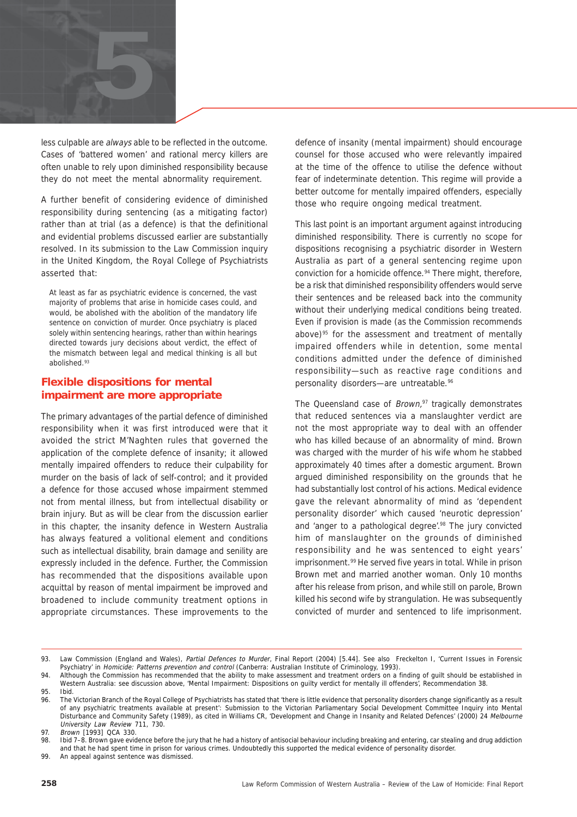

less culpable are always able to be reflected in the outcome. Cases of 'battered women' and rational mercy killers are often unable to rely upon diminished responsibility because they do not meet the mental abnormality requirement.

A further benefit of considering evidence of diminished responsibility during sentencing (as a mitigating factor) rather than at trial (as a defence) is that the definitional and evidential problems discussed earlier are substantially resolved. In its submission to the Law Commission inquiry in the United Kingdom, the Royal College of Psychiatrists asserted that:

At least as far as psychiatric evidence is concerned, the vast majority of problems that arise in homicide cases could, and would, be abolished with the abolition of the mandatory life sentence on conviction of murder. Once psychiatry is placed solely within sentencing hearings, rather than within hearings directed towards jury decisions about verdict, the effect of the mismatch between legal and medical thinking is all but abolished.93

#### **Flexible dispositions for mental impairment are more appropriate**

The primary advantages of the partial defence of diminished responsibility when it was first introduced were that it avoided the strict M'Naghten rules that governed the application of the complete defence of insanity; it allowed mentally impaired offenders to reduce their culpability for murder on the basis of lack of self-control; and it provided a defence for those accused whose impairment stemmed not from mental illness, but from intellectual disability or brain injury. But as will be clear from the discussion earlier in this chapter, the insanity defence in Western Australia has always featured a volitional element and conditions such as intellectual disability, brain damage and senility are expressly included in the defence. Further, the Commission has recommended that the dispositions available upon acquittal by reason of mental impairment be improved and broadened to include community treatment options in appropriate circumstances. These improvements to the defence of insanity (mental impairment) should encourage counsel for those accused who were relevantly impaired at the time of the offence to utilise the defence without fear of indeterminate detention. This regime will provide a better outcome for mentally impaired offenders, especially those who require ongoing medical treatment.

This last point is an important argument against introducing diminished responsibility. There is currently no scope for dispositions recognising a psychiatric disorder in Western Australia as part of a general sentencing regime upon conviction for a homicide offence.<sup>94</sup> There might, therefore, be a risk that diminished responsibility offenders would serve their sentences and be released back into the community without their underlying medical conditions being treated. Even if provision is made (as the Commission recommends above) $95$  for the assessment and treatment of mentally impaired offenders while in detention, some mental conditions admitted under the defence of diminished responsibility—such as reactive rage conditions and personality disorders-are untreatable.<sup>96</sup>

The Queensland case of  $Brown$ ,<sup>97</sup> tragically demonstrates that reduced sentences via a manslaughter verdict are not the most appropriate way to deal with an offender who has killed because of an abnormality of mind. Brown was charged with the murder of his wife whom he stabbed approximately 40 times after a domestic argument. Brown argued diminished responsibility on the grounds that he had substantially lost control of his actions. Medical evidence gave the relevant abnormality of mind as 'dependent personality disorder' which caused 'neurotic depression' and 'anger to a pathological degree'.<sup>98</sup> The jury convicted him of manslaughter on the grounds of diminished responsibility and he was sentenced to eight years' imprisonment.<sup>99</sup> He served five years in total. While in prison Brown met and married another woman. Only 10 months after his release from prison, and while still on parole, Brown killed his second wife by strangulation. He was subsequently convicted of murder and sentenced to life imprisonment.

99. An appeal against sentence was dismissed.

<sup>93.</sup> Law Commission (England and Wales), Partial Defences to Murder, Final Report (2004) [5.44]. See also Freckelton I, 'Current Issues in Forensic Psychiatry' in Homicide: Patterns prevention and control (Canberra: Australian Institute of Criminology, 1993).

<sup>94.</sup> Although the Commission has recommended that the ability to make assessment and treatment orders on a finding of guilt should be established in Western Australia: see discussion above, 'Mental Impairment: Dispositions on guilty verdict for mentally ill offenders', Recommendation 38. 95. Ibid.

<sup>96.</sup> The Victorian Branch of the Royal College of Psychiatrists has stated that 'there is little evidence that personality disorders change significantly as a result of any psychiatric treatments available at present': Submission to the Victorian Parliamentary Social Development Committee Inquiry into Mental Disturbance and Community Safety (1989), as cited in Williams CR, 'Development and Change in Insanity and Related Defences' (2000) 24 Melbourne University Law Review 711, 730.

<sup>97.</sup> Brown [1993] QCA 330.

<sup>98.</sup> Ibid 7–8. Brown gave evidence before the jury that he had a history of antisocial behaviour including breaking and entering, car stealing and drug addiction and that he had spent time in prison for various crimes. Undoubtedly this supported the medical evidence of personality disorder.